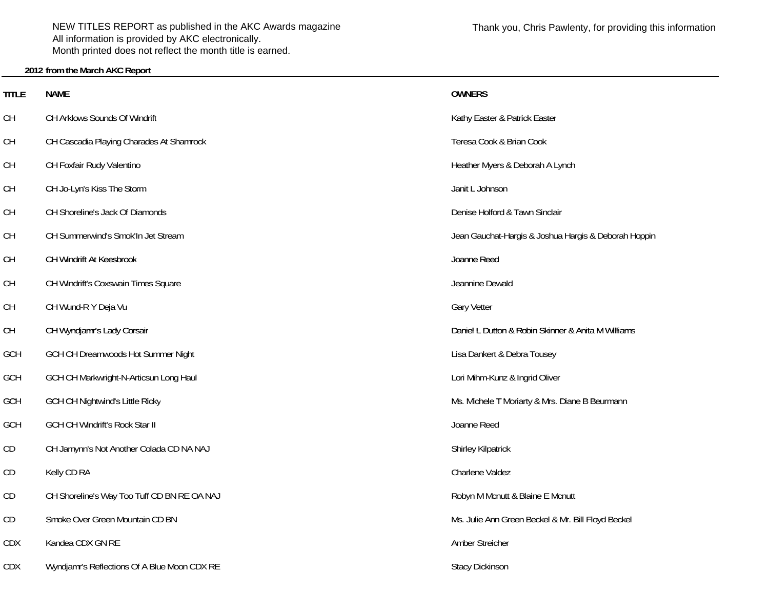NEW TITLES REPORT as published in the AKC Awards magazine All information is provided by AKC electronically. Month printed does not reflect the month title is earned.

## **2012 from the March AKC Report**

**TITLE**

CH

CH

CH

GCH

CD

CDX

| title | <b>NAME</b>                                  | <b>OWNERS</b>                                        |
|-------|----------------------------------------------|------------------------------------------------------|
| CН    | CH Arklows Sounds Of Windrift                | Kathy Easter & Patrick Easter                        |
| CН    | CH Cascadia Playing Charades At Shamrock     | Teresa Cook & Brian Cook                             |
| CН    | CH Foxfair Rudy Valentino                    | Heather Myers & Deborah A Lynch                      |
| CН    | CH Jo-Lyn's Kiss The Storm                   | Janit L Johnson                                      |
| CН    | CH Shoreline's Jack Of Diamonds              | Denise Holford & Tawn Sinclair                       |
| CН    | CH Summerwind's Smok'In Jet Stream           | Jean Gauchat-Hargis & Joshua Hargis & Deborah Hoppin |
| CН    | CH Windrift At Keesbrook                     | Joanne Reed                                          |
| CН    | CH Windrift's Coxswain Times Square          | Jeannine Dewald                                      |
| CН    | CH Wund-R Y Deja Vu                          | <b>Gary Vetter</b>                                   |
| CН    | CH Wyndjamr's Lady Corsair                   | Daniel L Dutton & Robin Skinner & Anita M Williams   |
| GCH   | GCH CH Dreamwoods Hot Summer Night           | Lisa Dankert & Debra Tousey                          |
| GCH   | GCH CH Markwright-N-Articsun Long Haul       | Lori Mihm-Kunz & Ingrid Oliver                       |
| GCH   | <b>GCH CH Nightwind's Little Ricky</b>       | Ms. Michele T Moriarty & Mrs. Diane B Beurmann       |
| GCH   | <b>GCH CH Windrift's Rock Star II</b>        | Joanne Reed                                          |
| CD    | CH Jamynn's Not Another Colada CD NA NAJ     | Shirley Kilpatrick                                   |
| СD    | Kelly CD RA                                  | Charlene Valdez                                      |
| СD    | CH Shoreline's Way Too Tuff CD BN RE OA NAJ  | Robyn M Mcnutt & Blaine E Mcnutt                     |
| СD    | Smoke Over Green Mountain CD BN              | Ms. Julie Ann Green Beckel & Mr. Bill Floyd Beckel   |
| CDX   | Kandea CDX GN RE                             | Amber Streicher                                      |
| CDX   | Wyndjamr's Reflections Of A Blue Moon CDX RE | <b>Stacy Dickinson</b>                               |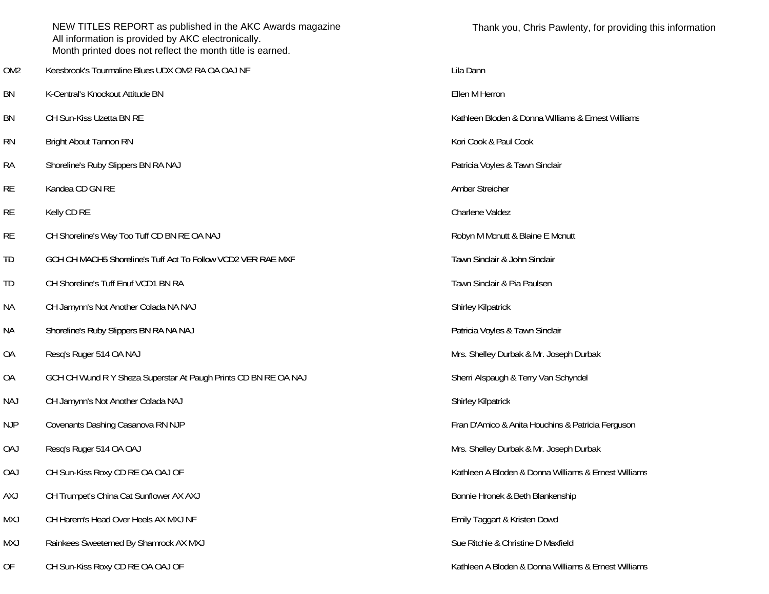|                 | NEW TITLES REPORT as published in the AKC Awards magazine<br>All information is provided by AKC electronically.<br>Month printed does not reflect the month title is earned. | Thank you, Chris Pawlenty, for providir             |
|-----------------|------------------------------------------------------------------------------------------------------------------------------------------------------------------------------|-----------------------------------------------------|
| OM <sub>2</sub> | Keesbrook's Tourmaline Blues UDX OM2 RA OA OAJ NF                                                                                                                            | Lila Dann                                           |
| <b>BN</b>       | K-Central's Knockout Attitude BN                                                                                                                                             | Ellen M Herron                                      |
| <b>BN</b>       | CH Sun-Kiss Uzetta BN RE                                                                                                                                                     | Kathleen Bloden & Donna Williams & Ernest Williams  |
| <b>RN</b>       | <b>Bright About Tannon RN</b>                                                                                                                                                | Kori Cook & Paul Cook                               |
| <b>RA</b>       | Shoreline's Ruby Slippers BN RA NAJ                                                                                                                                          | Patricia Voyles & Tawn Sinclair                     |
| <b>RE</b>       | Kandea CD GN RE                                                                                                                                                              | Amber Streicher                                     |
| <b>RE</b>       | Kelly CD RE                                                                                                                                                                  | Charlene Valdez                                     |
| <b>RE</b>       | CH Shoreline's Way Too Tuff CD BN RE OA NAJ                                                                                                                                  | Robyn M Mcnutt & Blaine E Mcnutt                    |
| TD              | GCH CH MACH5 Shoreline's Tuff Act To Follow VCD2 VER RAE MXF                                                                                                                 | Tawn Sinclair & John Sinclair                       |
| TD              | CH Shoreline's Tuff Enuf VCD1 BN RA                                                                                                                                          | Tawn Sinclair & Pia Paulsen                         |
| <b>NA</b>       | CH Jamynn's Not Another Colada NA NAJ                                                                                                                                        | Shirley Kilpatrick                                  |
| ΝA              | Shoreline's Ruby Slippers BN RA NA NAJ                                                                                                                                       | Patricia Voyles & Tawn Sinclair                     |
| <b>OA</b>       | Resq's Ruger 514 OA NAJ                                                                                                                                                      | Mrs. Shelley Durbak & Mr. Joseph Durbak             |
| <b>OA</b>       | GCH CH Wund R Y Sheza Superstar At Paugh Prints CD BN RE OA NAJ                                                                                                              | Sherri Alspaugh & Terry Van Schyndel                |
| <b>NAJ</b>      | CH Jamynn's Not Another Colada NAJ                                                                                                                                           | <b>Shirley Kilpatrick</b>                           |
| <b>NJP</b>      | Covenants Dashing Casanova RN NJP                                                                                                                                            | Fran D'Amico & Anita Houchins & Patricia Ferguson   |
| <b>OAJ</b>      | Resq's Ruger 514 OA OAJ                                                                                                                                                      | Mrs. Shelley Durbak & Mr. Joseph Durbak             |
| <b>OAJ</b>      | CH Sun-Kiss Roxy CD RE OA OAJ OF                                                                                                                                             | Kathleen A Bloden & Donna Williams & Ernest Williar |
| <b>AXJ</b>      | CH Trumpet's China Cat Sunflower AX AXJ                                                                                                                                      | Bonnie Hronek & Beth Blankenship                    |
| <b>MXJ</b>      | CH Harem's Head Over Heels AX MXJ NF                                                                                                                                         | Emily Taggart & Kristen Dowd                        |
| MXJ             | Rainkees Sweeterned By Shamrock AX MXJ                                                                                                                                       | Sue Ritchie & Christine D Maxfield                  |
| OF              | CH Sun-Kiss Roxy CD RE OA OAJ OF                                                                                                                                             | Kathleen A Bloden & Donna Williams & Ernest Williar |

Kathleen A Bloden & Donna Williams & Ernest Williams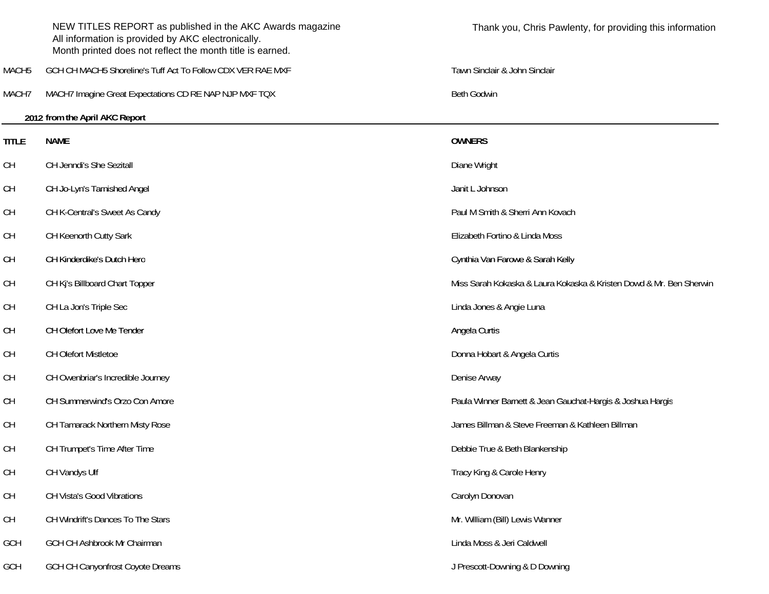|                   | NEW TITLES REPORT as published in the AKC Awards magazine<br>All information is provided by AKC electronically.<br>Month printed does not reflect the month title is earned. | Thank you, Chris Pawlenty, for providing this information           |
|-------------------|------------------------------------------------------------------------------------------------------------------------------------------------------------------------------|---------------------------------------------------------------------|
| MACH <sub>5</sub> | GCH CH MACH5 Shoreline's Tuff Act To Follow CDX VER RAE MXF                                                                                                                  | Tawn Sinclair & John Sinclair                                       |
| MACH7             | MACH7 Imagine Great Expectations CD RE NAP NJP MXF TQX                                                                                                                       | <b>Beth Godwin</b>                                                  |
|                   | 2012 from the April AKC Report                                                                                                                                               |                                                                     |
| <b>TITLE</b>      | <b>NAME</b>                                                                                                                                                                  | <b>OWNERS</b>                                                       |
| <b>CH</b>         | CH Jenndi's She Sezitall                                                                                                                                                     | Diane Wright                                                        |
| <b>CH</b>         | CH Jo-Lyn's Tarnished Angel                                                                                                                                                  | Janit L Johnson                                                     |
| <b>CH</b>         | CH K-Central's Sweet As Candy                                                                                                                                                | Paul M Smith & Sherri Ann Kovach                                    |
| <b>CH</b>         | CH Keenorth Cutty Sark                                                                                                                                                       | Elizabeth Fortino & Linda Moss                                      |
| <b>CH</b>         | CH Kinderdike's Dutch Hero                                                                                                                                                   | Cynthia Van Farowe & Sarah Kelly                                    |
| <b>CH</b>         | CH Kj's Billboard Chart Topper                                                                                                                                               | Miss Sarah Kokaska & Laura Kokaska & Kristen Dowd & Mr. Ben Sherwin |
| <b>CH</b>         | CH La Jon's Triple Sec                                                                                                                                                       | Linda Jones & Angie Luna                                            |
| <b>CH</b>         | CH Olefort Love Me Tender                                                                                                                                                    | Angela Curtis                                                       |
| <b>CH</b>         | CH Olefort Mistletoe                                                                                                                                                         | Donna Hobart & Angela Curtis                                        |
| <b>CH</b>         | CH Owenbriar's Incredible Journey                                                                                                                                            | Denise Arway                                                        |
| <b>CH</b>         | CH Summerwind's Orzo Con Amore                                                                                                                                               | Paula Winner Barnett & Jean Gauchat-Hargis & Joshua Hargis          |
| <b>CH</b>         | CH Tamarack Northern Misty Rose                                                                                                                                              | James Billman & Steve Freeman & Kathleen Billman                    |
| <b>CH</b>         | CH Trumpet's Time After Time                                                                                                                                                 | Debbie True & Beth Blankenship                                      |
| <b>CH</b>         | CH Vandys Ulf                                                                                                                                                                | Tracy King & Carole Henry                                           |
| <b>CH</b>         | CH Vista's Good Vibrations                                                                                                                                                   | Carolyn Donovan                                                     |
| <b>CH</b>         | CH Windrift's Dances To The Stars                                                                                                                                            | Mr. William (Bill) Lewis Wanner                                     |
| GCH               | GCH CH Ashbrook Mr Chairman                                                                                                                                                  | Linda Moss & Jeri Caldwell                                          |
| GCH               | <b>GCH CH Canyonfrost Coyote Dreams</b>                                                                                                                                      | J Prescott-Downing & D Downing                                      |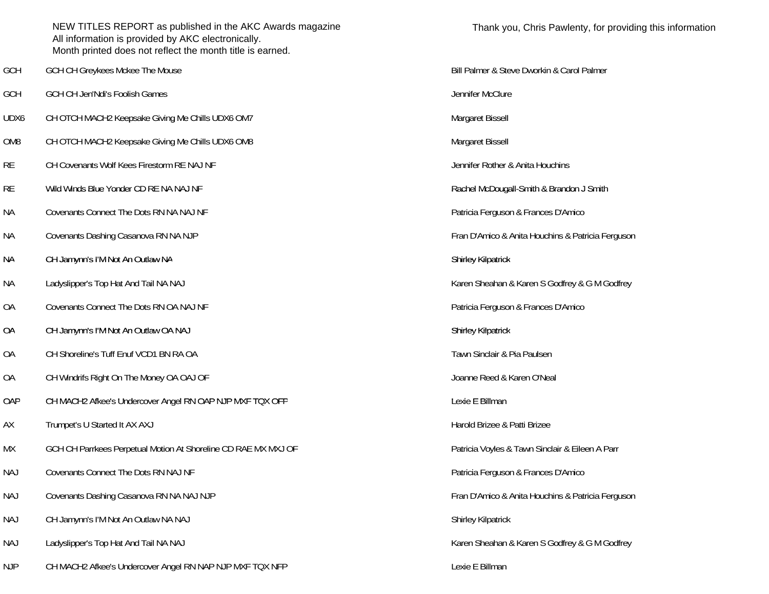|                 | NEW TITLES REPORT as published in the AKC Awards magazine<br>All information is provided by AKC electronically.<br>Month printed does not reflect the month title is earned. | Thank y           |
|-----------------|------------------------------------------------------------------------------------------------------------------------------------------------------------------------------|-------------------|
| GCH             | GCH CH Greykees Mckee The Mouse                                                                                                                                              | Bill Palmer & St  |
| GCH             | GCH CH Jen'Ndi's Foolish Games                                                                                                                                               | Jennifer McClur   |
| UDX6            | CH OTCH MACH2 Keepsake Giving Me Chills UDX6 OM7                                                                                                                             | Margaret Bissel   |
| OM <sub>8</sub> | CH OTCH MACH2 Keepsake Giving Me Chills UDX6 OM8                                                                                                                             | Margaret Bissel   |
| <b>RE</b>       | CH Covenants Wolf Kees Firestorm RE NAJ NF                                                                                                                                   | Jennifer Rother   |
| <b>RE</b>       | Wild Winds Blue Yonder CD RE NA NAJ NF                                                                                                                                       | Rachel McDoug     |
| <b>NA</b>       | Covenants Connect The Dots RN NA NAJ NF                                                                                                                                      | Patricia Fergus   |
| <b>NA</b>       | Covenants Dashing Casanova RN NA NJP                                                                                                                                         | Fran D'Amico &    |
| <b>NA</b>       | CH Jamynn's I'M Not An Outlaw NA                                                                                                                                             | Shirley Kilpatric |
| <b>NA</b>       | Ladyslipper's Top Hat And Tail NA NAJ                                                                                                                                        | Karen Sheahan     |
| <b>OA</b>       | Covenants Connect The Dots RN OA NAJ NF                                                                                                                                      | Patricia Fergus   |
| <b>OA</b>       | CH Jamynn's I'M Not An Outlaw OA NAJ                                                                                                                                         | Shirley Kilpatric |
| <b>OA</b>       | CH Shoreline's Tuff Enuf VCD1 BN RA OA                                                                                                                                       | Tawn Sinclair &   |
| <b>OA</b>       | CH Windrifs Right On The Money OA OAJ OF                                                                                                                                     | Joanne Reed &     |
| OAP             | CH MACH2 Afkee's Undercover Angel RN OAP NJP MXF TQX OFP                                                                                                                     | Lexie E Billman   |
| AX              | Trumpet's U Started It AX AXJ                                                                                                                                                | Harold Brizee &   |
| МX              | GCH CH Parrkees Perpetual Motion At Shoreline CD RAE MX MXJ OF                                                                                                               | Patricia Voyles   |
| <b>NAJ</b>      | Covenants Connect The Dots RN NAJ NF                                                                                                                                         | Patricia Fergus   |
| <b>NAJ</b>      | Covenants Dashing Casanova RN NA NAJ NJP                                                                                                                                     | Fran D'Amico &    |
| <b>NAJ</b>      | CH Jamynn's I'M Not An Outlaw NA NAJ                                                                                                                                         | Shirley Kilpatric |
| <b>NAJ</b>      | Ladyslipper's Top Hat And Tail NA NAJ                                                                                                                                        | Karen Sheahan     |
| <b>NJP</b>      | CH MACH2 Afkee's Undercover Angel RN NAP NJP MXF TQX NFP                                                                                                                     | Lexie E Billman   |

Jennifer McClure Margaret Bissell Margaret Bissell Jennifer Rother & Anita Houchins Rachel McDougall-Smith & Brandon J Smith Patricia Ferguson & Frances D'Amico Fran D'Amico & Anita Houchins & Patricia Ferguson Shirley Kilpatrick Karen Sheahan & Karen S Godfrey & G M Godfrey Patricia Ferguson & Frances D'Amico Shirley Kilpatrick Tawn Sinclair & Pia Paulsen Joanne Reed & Karen O'Neal Harold Brizee & Patti Brizee Patricia Voyles & Tawn Sinclair & Eileen A Parr Patricia Ferguson & Frances D'Amico Fran D'Amico & Anita Houchins & Patricia Ferguson Shirley Kilpatrick Karen Sheahan & Karen S Godfrey & G M Godfrey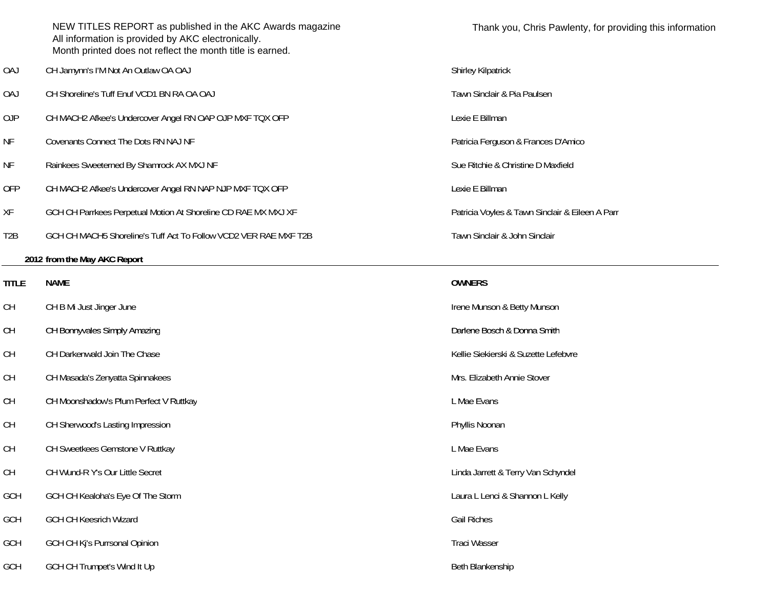|                  | NEW TITLES REPORT as published in the AKC Awards magazine<br>All information is provided by AKC electronically.<br>Month printed does not reflect the month title is earned. | Thank you, Chris Pawler              |
|------------------|------------------------------------------------------------------------------------------------------------------------------------------------------------------------------|--------------------------------------|
| <b>OAJ</b>       | CH Jamynn's I'M Not An Outlaw OA OAJ                                                                                                                                         | Shirley Kilpatrick                   |
| <b>OAJ</b>       | CH Shoreline's Tuff Enuf VCD1 BN RA OA OAJ                                                                                                                                   | Tawn Sinclair & Pia Paulsen          |
| <b>OJP</b>       | CH MACH2 Afkee's Undercover Angel RN OAP OJP MXF TQX OFP                                                                                                                     | Lexie E Billman                      |
| <b>NF</b>        | Covenants Connect The Dots RN NAJ NF                                                                                                                                         | Patricia Ferguson & Frances D'Amio   |
| <b>NF</b>        | Rainkees Sweeterned By Shamrock AX MXJ NF                                                                                                                                    | Sue Ritchie & Christine D Maxfield   |
| <b>OFP</b>       | CH MACH2 Afkee's Undercover Angel RN NAP NJP MXF TQX OFP                                                                                                                     | Lexie E Billman                      |
| XF               | GCH CH Parrkees Perpetual Motion At Shoreline CD RAE MX MXJ XF                                                                                                               | Patricia Voyles & Tawn Sinclair & E  |
| T <sub>2</sub> B | GCH CH MACH5 Shoreline's Tuff Act To Follow VCD2 VER RAE MXF T2B                                                                                                             | Tawn Sinclair & John Sinclair        |
|                  | 2012 from the May AKC Report                                                                                                                                                 |                                      |
| <b>TITLE</b>     | <b>NAME</b>                                                                                                                                                                  | <b>OWNERS</b>                        |
| <b>CH</b>        | CH B Mi Just Jinger June                                                                                                                                                     | Irene Munson & Betty Munson          |
| <b>CH</b>        | CH Bonnyvales Simply Amazing                                                                                                                                                 | Darlene Bosch & Donna Smith          |
| <b>CH</b>        | CH Darkenwald Join The Chase                                                                                                                                                 | Kellie Siekierski & Suzette Lefebvre |
| <b>CH</b>        | CH Masada's Zenyatta Spinnakees                                                                                                                                              | Mrs. Elizabeth Annie Stover          |
| <b>CH</b>        | CH Moonshadow's Plum Perfect V Ruttkay                                                                                                                                       | L Mae Evans                          |
| <b>CH</b>        | CH Sherwood's Lasting Impression                                                                                                                                             | Phyllis Noonan                       |
| <b>CH</b>        | CH Sweetkees Gemstone V Ruttkay                                                                                                                                              | L Mae Evans                          |
| <b>CH</b>        | CH Wund-R Y's Our Little Secret                                                                                                                                              | Linda Jarrett & Terry Van Schyndel   |
| GCH              | GCH CH Kealoha's Eye Of The Storm                                                                                                                                            | Laura L Lenci & Shannon L Kelly      |
| GCH              | <b>GCH CH Keesrich Wizard</b>                                                                                                                                                | <b>Gail Riches</b>                   |
| GCH              | GCH CH Kj's Purrsonal Opinion                                                                                                                                                | Traci Wasser                         |
| GCH              | GCH CH Trumpet's Wind It Up                                                                                                                                                  | Beth Blankenship                     |

ia Ferguson & Frances D'Amico

tia Voyles & Tawn Sinclair & Eileen A Parr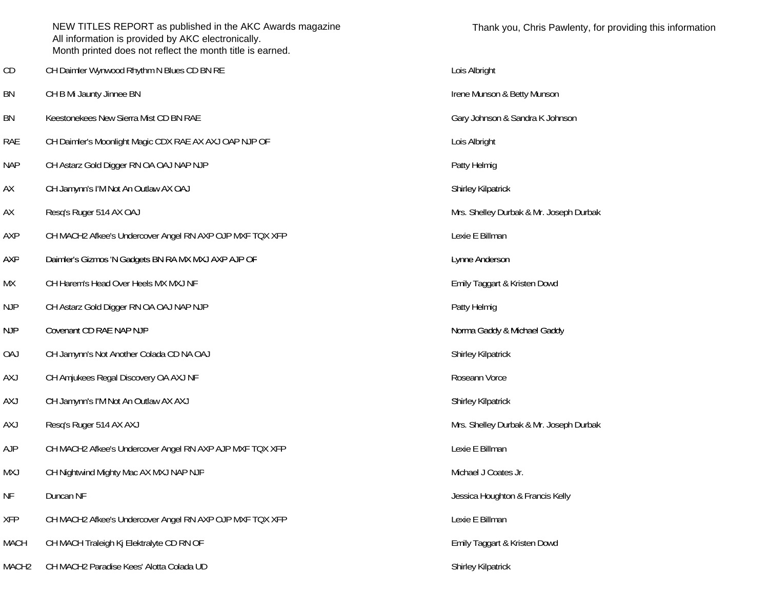|                   | NEW TITLES REPORT as published in the AKC Awards magazine<br>All information is provided by AKC electronically.<br>Month printed does not reflect the month title is earned. | Thank y                  |
|-------------------|------------------------------------------------------------------------------------------------------------------------------------------------------------------------------|--------------------------|
| CD                | CH Daimler Wynwood Rhythm N Blues CD BN RE                                                                                                                                   | Lois Albright            |
| BN                | CH B Mi Jaunty Jinnee BN                                                                                                                                                     | Irene Munson &           |
| <b>BN</b>         | Keestonekees New Sierra Mist CD BN RAE                                                                                                                                       | Gary Johnson &           |
| <b>RAE</b>        | CH Daimler's Moonlight Magic CDX RAE AX AXJ OAP NJP OF                                                                                                                       | Lois Albright            |
| <b>NAP</b>        | CH Astarz Gold Digger RN OA OAJ NAP NJP                                                                                                                                      | Patty Helmig             |
| AX                | CH Jamynn's I'M Not An Outlaw AX OAJ                                                                                                                                         | Shirley Kilpatric        |
| AX                | Resq's Ruger 514 AX OAJ                                                                                                                                                      | Mrs. Shelley Du          |
| AXP               | CH MACH2 Afkee's Undercover Angel RN AXP OJP MXF TQX XFP                                                                                                                     | Lexie E Billman          |
| AXP               | Daimler's Gizmos 'N Gadgets BN RA MX MXJ AXP AJP OF                                                                                                                          | Lynne Andersor           |
| МX                | CH Harem's Head Over Heels MX MXJ NF                                                                                                                                         | Emily Taggart &          |
| <b>NJP</b>        | CH Astarz Gold Digger RN OA OAJ NAP NJP                                                                                                                                      | Patty Helmig             |
| <b>NJP</b>        | Covenant CD RAE NAP NJP                                                                                                                                                      | Norma Gaddy &            |
| <b>OAJ</b>        | CH Jamynn's Not Another Colada CD NA OAJ                                                                                                                                     | Shirley Kilpatric        |
| <b>AXJ</b>        | CH Amjukees Regal Discovery OA AXJ NF                                                                                                                                        | Roseann Vorce            |
| <b>AXJ</b>        | CH Jamynn's I'M Not An Outlaw AX AXJ                                                                                                                                         | Shirley Kilpatric        |
| <b>AXJ</b>        | Resg's Ruger 514 AX AXJ                                                                                                                                                      | Mrs. Shelley Du          |
| <b>AJP</b>        | CH MACH2 Afkee's Undercover Angel RN AXP AJP MXF TQX XFP                                                                                                                     | Lexie E Billman          |
| <b>MXJ</b>        | CH Nightwind Mighty Mac AX MXJ NAP NJP                                                                                                                                       | Michael J Coate          |
| NF                | Duncan NF                                                                                                                                                                    | Jessica Hought           |
| <b>XFP</b>        | CH MACH2 Afkee's Undercover Angel RN AXP OJP MXF TQX XFP                                                                                                                     | Lexie E Billman          |
| <b>MACH</b>       | CH MACH Traleigh Kj Elektralyte CD RN OF                                                                                                                                     | Emily Taggart &          |
| MACH <sub>2</sub> | CH MACH2 Paradise Kees' Alotta Colada UD                                                                                                                                     | <b>Shirley Kilpatric</b> |

Irene Munson & Betty Munson Gary Johnson & Sandra K Johnson Shirley Kilpatrick Mrs. Shelley Durbak & Mr. Joseph Durbak Lexie E Billman Lynne Anderson Emily Taggart & Kristen Dowd Norma Gaddy & Michael Gaddy Shirley Kilpatrick Roseann Vorce Shirley Kilpatrick Mrs. Shelley Durbak & Mr. Joseph Durbak Michael J Coates Jr. Jessica Houghton & Francis Kelly Emily Taggart & Kristen Dowd

Shirley Kilpatrick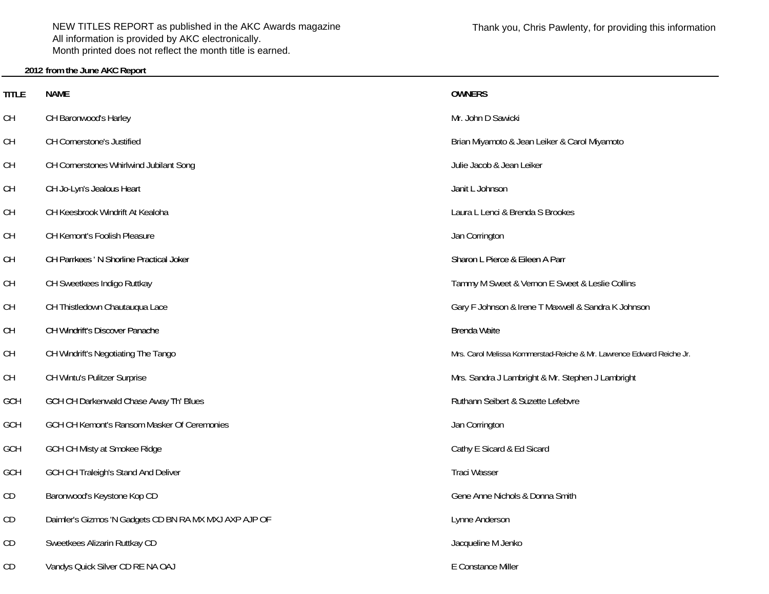NEW TITLES REPORT as published in the AKC Awards magazine All information is provided by AKC electronically. Month printed does not reflect the month title is earned.

### **2012 from the June AKC Report**

**TITLE**

CH

CH

CH

CH

GCH

**GCH** 

| <b>TITLE</b> | <b>NAME</b>                                            | <b>OWNERS</b>                                                         |
|--------------|--------------------------------------------------------|-----------------------------------------------------------------------|
| CН           | CH Baronwood's Harley                                  | Mr. John D Sawicki                                                    |
| CН           | CH Cornerstone's Justified                             | Brian Miyamoto & Jean Leiker & Carol Miyamoto                         |
| CН           | CH Cornerstones Whirlwind Jubilant Song                | Julie Jacob & Jean Leiker                                             |
| CН           | CH Jo-Lyn's Jealous Heart                              | Janit L Johnson                                                       |
| CН           | CH Keesbrook Windrift At Kealoha                       | Laura L Lenci & Brenda S Brookes                                      |
| CН           | CH Kemont's Foolish Pleasure                           | Jan Corrington                                                        |
| CН           | CH Parrkees ' N Shorline Practical Joker               | Sharon L Pierce & Eileen A Parr                                       |
| CН           | CH Sweetkees Indigo Ruttkay                            | Tammy M Sweet & Vernon E Sweet & Leslie Collins                       |
| CН           | CH Thistledown Chautauqua Lace                         | Gary F Johnson & Irene T Maxwell & Sandra K Johnson                   |
| CН           | CH Windrift's Discover Panache                         | Brenda Waite                                                          |
| CН           | CH Windrift's Negotiating The Tango                    | Mrs. Carol Melissa Kommerstad-Reiche & Mr. Lawrence Edward Reiche Jr. |
| CН           | CH Wintu's Pulitzer Surprise                           | Mrs. Sandra J Lambright & Mr. Stephen J Lambright                     |
| GCH          | GCH CH Darkenwald Chase Away Th' Blues                 | Ruthann Seibert & Suzette Lefebvre                                    |
| GCH          | GCH CH Kemont's Ransom Masker Of Ceremonies            | Jan Corrington                                                        |
| GCH          | GCH CH Misty at Smokee Ridge                           | Cathy E Sicard & Ed Sicard                                            |
| GCH          | GCH CH Traleigh's Stand And Deliver                    | <b>Traci Wasser</b>                                                   |
| СD           | Baronwood's Keystone Kop CD                            | Gene Anne Nichols & Donna Smith                                       |
| CD           | Daimler's Gizmos 'N Gadgets CD BN RA MX MXJ AXP AJP OF | Lynne Anderson                                                        |
| СD           | Sweetkees Alizarin Ruttkay CD                          | Jacqueline M Jenko                                                    |
| CD           | Vandys Quick Silver CD RE NA OAJ                       | E Constance Miller                                                    |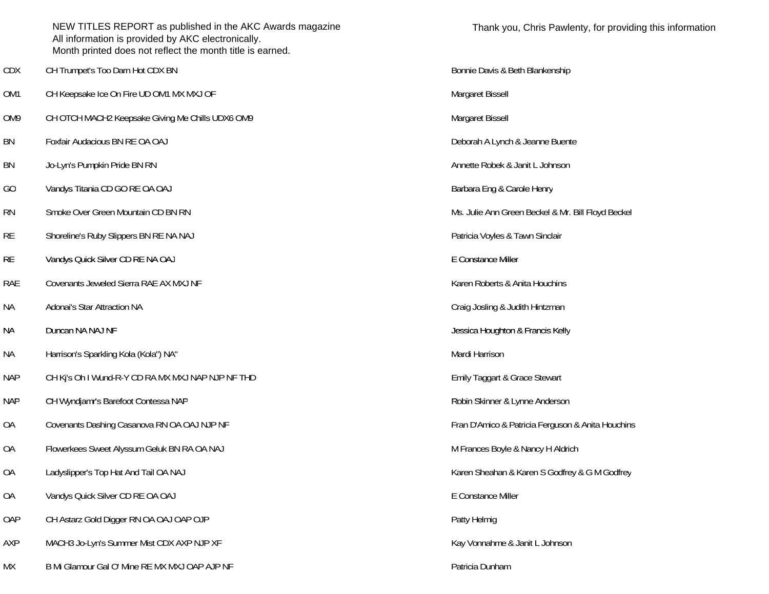|                 | NEW TITLES REPORT as published in the AKC Awards magazine<br>All information is provided by AKC electronically.<br>Month printed does not reflect the month title is earned. | Thank you, Chris Pawlenty, for provid              |
|-----------------|------------------------------------------------------------------------------------------------------------------------------------------------------------------------------|----------------------------------------------------|
| <b>CDX</b>      | CH Trumpet's Too Darn Hot CDX BN                                                                                                                                             | Bonnie Davis & Beth Blankenship                    |
| OM1             | CH Keepsake Ice On Fire UD OM1 MX MXJ OF                                                                                                                                     | Margaret Bissell                                   |
| OM <sub>9</sub> | CH OTCH MACH2 Keepsake Giving Me Chills UDX6 OM9                                                                                                                             | Margaret Bissell                                   |
| BN              | Foxfair Audacious BN RE OA OAJ                                                                                                                                               | Deborah A Lynch & Jeanne Buente                    |
| BN              | Jo-Lyn's Pumpkin Pride BN RN                                                                                                                                                 | Annette Robek & Janit L Johnson                    |
| GO              | Vandys Titania CD GO RE OA OAJ                                                                                                                                               | Barbara Eng & Carole Henry                         |
| <b>RN</b>       | Smoke Over Green Mountain CD BN RN                                                                                                                                           | Ms. Julie Ann Green Beckel & Mr. Bill Floyd Beckel |
| <b>RE</b>       | Shoreline's Ruby Slippers BN RE NA NAJ                                                                                                                                       | Patricia Voyles & Tawn Sinclair                    |
| <b>RE</b>       | Vandys Quick Silver CD RE NA OAJ                                                                                                                                             | E Constance Miller                                 |
| <b>RAE</b>      | Covenants Jeweled Sierra RAE AX MXJ NF                                                                                                                                       | Karen Roberts & Anita Houchins                     |
| <b>NA</b>       | Adonai's Star Attraction NA                                                                                                                                                  | Craig Josling & Judith Hintzman                    |
| <b>NA</b>       | Duncan NA NAJ NF                                                                                                                                                             | Jessica Houghton & Francis Kelly                   |
| <b>NA</b>       | Harrison's Sparkling Kola (Kola") NA"                                                                                                                                        | Mardi Harrison                                     |
| <b>NAP</b>      | CH Kj's Oh I Wund-R-Y CD RA MX MXJ NAP NJP NF THD                                                                                                                            | Emily Taggart & Grace Stewart                      |
| <b>NAP</b>      | CH Wyndjamr's Barefoot Contessa NAP                                                                                                                                          | Robin Skinner & Lynne Anderson                     |
| <b>OA</b>       | Covenants Dashing Casanova RN OA OAJ NJP NF                                                                                                                                  | Fran D'Amico & Patricia Ferguson & Anita Houchins  |
| 0A              | Flowerkees Sweet Alyssum Geluk BN RA OA NAJ                                                                                                                                  | M Frances Boyle & Nancy H Aldrich                  |
| OA              | Ladyslipper's Top Hat And Tail OA NAJ                                                                                                                                        | Karen Sheahan & Karen S Godfrey & G M Godfrey      |
| <b>OA</b>       | Vandys Quick Silver CD RE OA OAJ                                                                                                                                             | E Constance Miller                                 |
| OAP             | CH Astarz Gold Digger RN OA OAJ OAP OJP                                                                                                                                      | Patty Helmig                                       |
| AXP             | MACH3 Jo-Lyn's Summer Mist CDX AXP NJP XF                                                                                                                                    | Kay Vonnahme & Janit L Johnson                     |
| МX              | B Mi Glamour Gal O' Mine RE MX MXJ OAP AJP NF                                                                                                                                | Patricia Dunham                                    |

| Bonnie Davis & Beth Blankenship                    |
|----------------------------------------------------|
| Margaret Bissell                                   |
| Margaret Bissell                                   |
| Deborah A Lynch & Jeanne Buente                    |
| Annette Robek & Janit L Johnson                    |
| Barbara Eng & Carole Henry                         |
| Ms. Julie Ann Green Beckel & Mr. Bill Floyd Beckel |
| Patricia Voyles & Tawn Sinclair                    |
| E Constance Miller                                 |
| Karen Roberts & Anita Houchins                     |
| Craig Josling & Judith Hintzman                    |
| Jessica Houghton & Francis Kelly                   |
| Mardi Harrison                                     |
| Emily Taggart & Grace Stewart                      |
| Robin Skinner & Lynne Anderson                     |
| Fran D'Amico & Patricia Ferguson & Anita Houchins  |
| M Frances Boyle & Nancy H Aldrich                  |
| Karen Sheahan & Karen S Godfrey & G M Godfrey      |
| E Constance Miller                                 |
| Patty Helmig                                       |
| Kay Vonnahme & Janit L Johnson                     |
| Patricia Dunham                                    |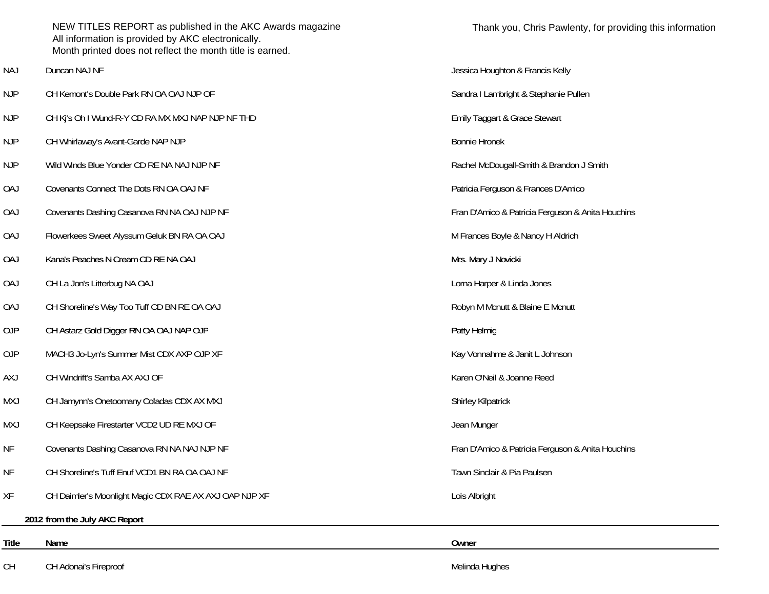|            | NEW TITLES REPORT as published in the AKC Awards magazine<br>All information is provided by AKC electronically.<br>Month printed does not reflect the month title is earned. | Thank you, Chris Pawlenty, for providing this information |
|------------|------------------------------------------------------------------------------------------------------------------------------------------------------------------------------|-----------------------------------------------------------|
| <b>NAJ</b> | Duncan NAJ NF                                                                                                                                                                | Jessica Houghton & Francis Kelly                          |
| <b>NJP</b> | CH Kemont's Double Park RN OA OAJ NJP OF                                                                                                                                     | Sandra I Lambright & Stephanie Pullen                     |
| <b>NJP</b> | CH Ki's Oh I Wund-R-Y CD RA MX MXJ NAP NJP NF THD                                                                                                                            | Emily Taggart & Grace Stewart                             |
| <b>NJP</b> | CH Whirlaway's Avant-Garde NAP NJP                                                                                                                                           | <b>Bonnie Hronek</b>                                      |
| <b>NJP</b> | Wild Winds Blue Yonder CD RE NA NAJ NJP NF                                                                                                                                   | Rachel McDougall-Smith & Brandon J Smith                  |
| <b>OAJ</b> | Covenants Connect The Dots RN OA OAJ NF                                                                                                                                      | Patricia Ferguson & Frances D'Amico                       |
| <b>OAJ</b> | Covenants Dashing Casanova RN NA OAJ NJP NF                                                                                                                                  | Fran D'Amico & Patricia Ferguson & Anita Houchins         |
| <b>OAJ</b> | Flowerkees Sweet Alyssum Geluk BN RA OA OAJ                                                                                                                                  | M Frances Boyle & Nancy H Aldrich                         |
| <b>OAJ</b> | Kana's Peaches N Cream CD RE NA OAJ                                                                                                                                          | Mrs. Mary J Novicki                                       |
| <b>OAJ</b> | CH La Jon's Litterbug NA OAJ                                                                                                                                                 | Lorna Harper & Linda Jones                                |
| <b>OAJ</b> | CH Shoreline's Way Too Tuff CD BN RE OA OAJ                                                                                                                                  | Robyn M Mcnutt & Blaine E Mcnutt                          |
| OJP        | CH Astarz Gold Digger RN OA OAJ NAP OJP                                                                                                                                      | Patty Helmig                                              |
| 0JP        | MACH3 Jo-Lyn's Summer Mist CDX AXP OJP XF                                                                                                                                    | Kay Vonnahme & Janit L Johnson                            |
| AXJ        | CH Windrift's Samba AX AXJ OF                                                                                                                                                | Karen O'Neil & Joanne Reed                                |
| <b>LXM</b> | CH Jamynn's Onetoomany Coladas CDX AX MXJ                                                                                                                                    | <b>Shirley Kilpatrick</b>                                 |
| MXJ        | CH Keepsake Firestarter VCD2 UD RE MXJ OF                                                                                                                                    | Jean Munger                                               |
| <b>NF</b>  | Covenants Dashing Casanova RN NA NAJ NJP NF                                                                                                                                  | Fran D'Amico & Patricia Ferguson & Anita Houchins         |
| <b>NF</b>  | CH Shoreline's Tuff Enuf VCD1 BN RA OA OAJ NF                                                                                                                                | Tawn Sinclair & Pia Paulsen                               |
| XF         | CH Daimler's Moonlight Magic CDX RAE AX AXJ OAP NJP XF                                                                                                                       | Lois Albright                                             |
|            | 2012 from the July AKC Report                                                                                                                                                |                                                           |
| Title      | Name                                                                                                                                                                         | Owner                                                     |
| CH         | CH Adonai's Fireproof                                                                                                                                                        | Melinda Hughes                                            |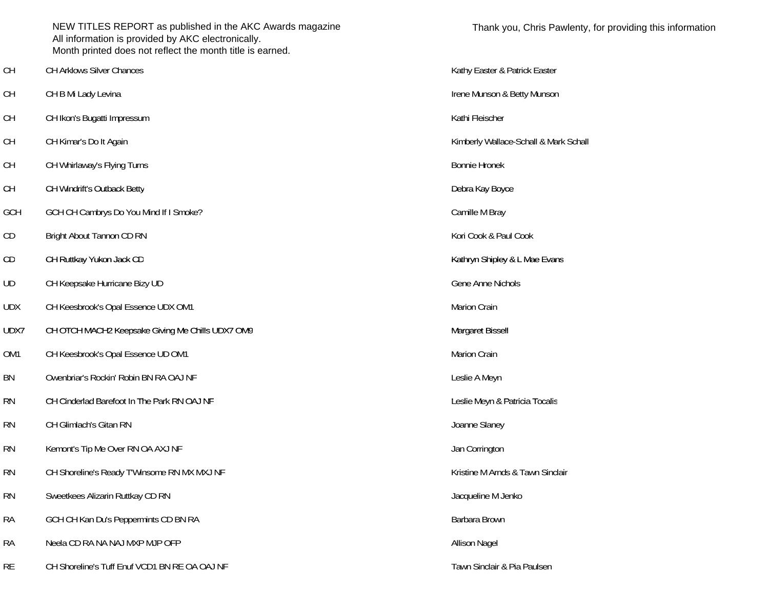|            | NEW TITLES REPORT as published in the AKC Awards magazine<br>All information is provided by AKC electronically.<br>Month printed does not reflect the month title is earned. | Thank y              |
|------------|------------------------------------------------------------------------------------------------------------------------------------------------------------------------------|----------------------|
| <b>CH</b>  | <b>CH Arklows Silver Chances</b>                                                                                                                                             | Kathy Easter &       |
| <b>CH</b>  | CH B Mi Lady Levina                                                                                                                                                          | Irene Munson &       |
| <b>CH</b>  | CH Ikon's Bugatti Impressum                                                                                                                                                  | Kathi Fleischer      |
| <b>CH</b>  | CH Kimar's Do It Again                                                                                                                                                       | Kimberly Walla       |
| <b>CH</b>  | CH Whirlaway's Flying Turns                                                                                                                                                  | <b>Bonnie Hronek</b> |
| <b>CH</b>  | CH Windrift's Outback Betty                                                                                                                                                  | Debra Kay Boy        |
| GCH        | GCH CH Cambrys Do You Mind If I Smoke?                                                                                                                                       | Camille M Bray       |
| CD         | Bright About Tannon CD RN                                                                                                                                                    | Kori Cook & Pa       |
| CD         | CH Ruttkay Yukon Jack CD                                                                                                                                                     | Kathryn Shiple       |
| UD         | CH Keepsake Hurricane Bizy UD                                                                                                                                                | Gene Anne Nic        |
| <b>UDX</b> | CH Keesbrook's Opal Essence UDX OM1                                                                                                                                          | Marion Crain         |
| UDX7       | CH OTCH MACH2 Keepsake Giving Me Chills UDX7 OM9                                                                                                                             | Margaret Bisse       |
| OM1        | CH Keesbrook's Opal Essence UD OM1                                                                                                                                           | Marion Crain         |
| BN         | Owenbriar's Rockin' Robin BN RA OAJ NF                                                                                                                                       | Leslie A Meyn        |
| <b>RN</b>  | CH Cinderlad Barefoot In The Park RN OAJ NF                                                                                                                                  | Leslie Meyn &        |
| <b>RN</b>  | CH Glimlach's Gitan RN                                                                                                                                                       | Joanne Slaney        |
| <b>RN</b>  | Kemont's Tip Me Over RN OA AXJ NF                                                                                                                                            | Jan Corrington       |
| <b>RN</b>  | CH Shoreline's Ready T'Winsome RN MX MXJ NF                                                                                                                                  | Kristine M Arno      |
| <b>RN</b>  | Sweetkees Alizarin Ruttkay CD RN                                                                                                                                             | Jacqueline M J       |
| <b>RA</b>  | GCH CH Kan Du's Peppermints CD BN RA                                                                                                                                         | Barbara Brown        |
| <b>RA</b>  | Neela CD RA NA NAJ MXP MJP OFP                                                                                                                                               | <b>Allison Nagel</b> |
| RF         | CH Shoreline's Tuff Enuf VCD1 RN RE OA OA LNE                                                                                                                                | Tawn Sinclair &      |

Thank you, Chris Pawlenty, for providing this information Kathy Easter & Patrick Easter Irene Munson & Betty Munson Kathi Fleischer Kimberly Wallace-Schall & Mark Schall Debra Kay Boyce Camille M Bray Kori Cook & Paul Cook Kathryn Shipley & L Mae Evans Gene Anne Nichols Margaret Bissell Leslie A Meyn Leslie Meyn & Patricia Tocalis Joanne Slaney Jan Corrington Kristine M Arnds & Tawn Sinclair Jacqueline M Jenko

Tawn Sinclair & Pia Paulsen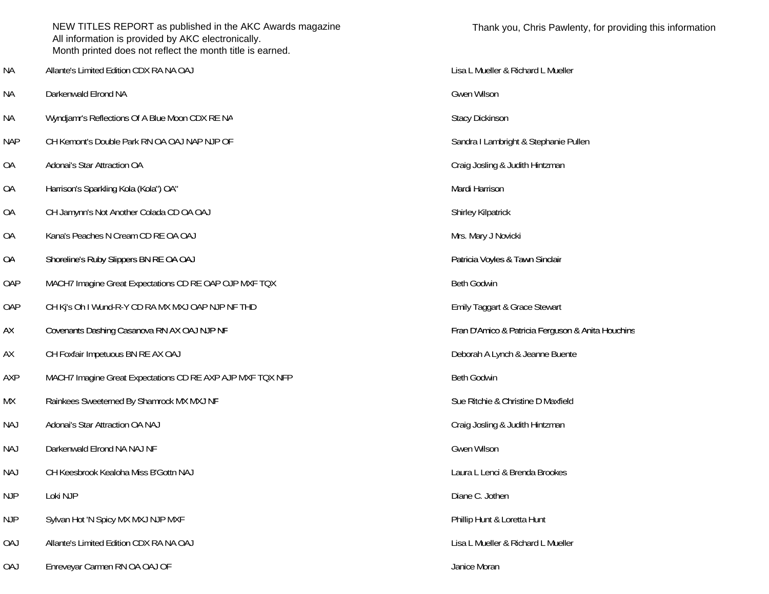|            | NEW TITLES REPORT as published in the AKC Awards magazine<br>All information is provided by AKC electronically.<br>Month printed does not reflect the month title is earned. | Thank you, Chris Pawle             |
|------------|------------------------------------------------------------------------------------------------------------------------------------------------------------------------------|------------------------------------|
| <b>NA</b>  | Allante's Limited Edition CDX RA NA OAJ                                                                                                                                      | Lisa L Mueller & Richard L Mueller |
| <b>NA</b>  | Darkenwald Elrond NA                                                                                                                                                         | Gwen Wilson                        |
| <b>NA</b>  | Wyndjamr's Reflections Of A Blue Moon CDX RE NA                                                                                                                              | <b>Stacy Dickinson</b>             |
| <b>NAP</b> | CH Kemont's Double Park RN OA OAJ NAP NJP OF                                                                                                                                 | Sandra I Lambright & Stephanie Pu  |
| <b>OA</b>  | Adonai's Star Attraction OA                                                                                                                                                  | Craig Josling & Judith Hintzman    |
| <b>OA</b>  | Harrison's Sparkling Kola (Kola") OA"                                                                                                                                        | Mardi Harrison                     |
| <b>OA</b>  | CH Jamynn's Not Another Colada CD OA OAJ                                                                                                                                     | <b>Shirley Kilpatrick</b>          |
| <b>OA</b>  | Kana's Peaches N Cream CD RE OA OAJ                                                                                                                                          | Mrs. Mary J Novicki                |
| <b>OA</b>  | Shoreline's Ruby Slippers BN RE OA OAJ                                                                                                                                       | Patricia Voyles & Tawn Sinclair    |
| OAP        | MACH7 Imagine Great Expectations CD RE OAP OJP MXF TQX                                                                                                                       | <b>Beth Godwin</b>                 |
| OAP        | CH Kj's Oh I Wund-R-Y CD RA MX MXJ OAP NJP NF THD                                                                                                                            | Emily Taggart & Grace Stewart      |
| AX         | Covenants Dashing Casanova RN AX OAJ NJP NF                                                                                                                                  | Fran D'Amico & Patricia Ferguson   |
| AX         | CH Foxfair Impetuous BN RE AX OAJ                                                                                                                                            | Deborah A Lynch & Jeanne Buente    |
| AXP        | MACH7 Imagine Great Expectations CD RE AXP AJP MXF TQX NFP                                                                                                                   | <b>Beth Godwin</b>                 |
| МX         | Rainkees Sweeterned By Shamrock MX MXJ NF                                                                                                                                    | Sue Ritchie & Christine D Maxfield |
| <b>NAJ</b> | Adonai's Star Attraction OA NAJ                                                                                                                                              | Craig Josling & Judith Hintzman    |
| NAJ        | Darkenwald Elrond NA NAJ NF                                                                                                                                                  | Gwen Wilson                        |
| <b>NAJ</b> | CH Keesbrook Kealoha Miss B'Gottn NAJ                                                                                                                                        | Laura L Lenci & Brenda Brookes     |
| <b>NJP</b> | Loki NJP                                                                                                                                                                     | Diane C. Jothen                    |
| <b>NJP</b> | Sylvan Hot 'N Spicy MX MXJ NJP MXF                                                                                                                                           | Phillip Hunt & Loretta Hunt        |
| <b>OAJ</b> | Allante's Limited Edition CDX RA NA OAJ                                                                                                                                      | Lisa L Mueller & Richard L Mueller |
| 0AJ        | Enreveyar Carmen RN OA OAJ OF                                                                                                                                                | Janice Moran                       |

Sandra I Lambright & Stephanie Pullen

Fran D'Amico & Patricia Ferguson & Anita Houchins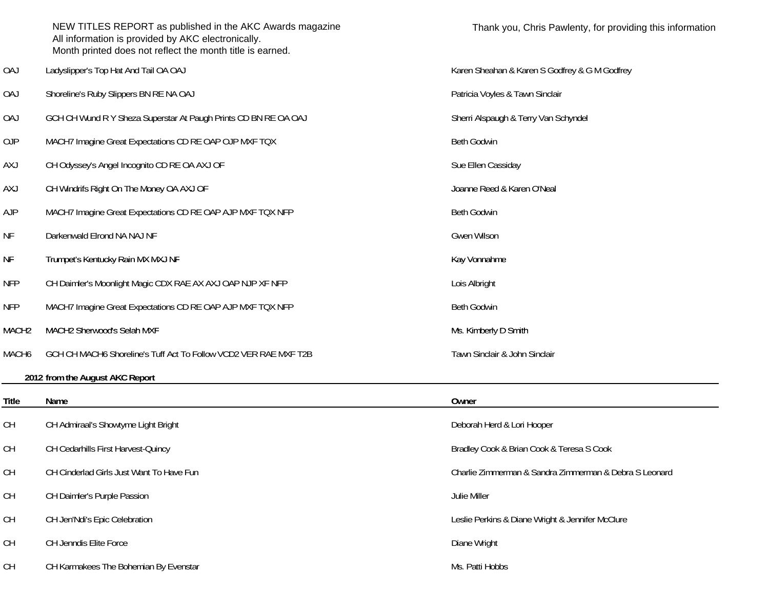|                   | NEW TITLES REPORT as published in the AKC Awards magazine<br>All information is provided by AKC electronically.<br>Month printed does not reflect the month title is earned. | Thank you, Chris Pawlenty, for providing this information |
|-------------------|------------------------------------------------------------------------------------------------------------------------------------------------------------------------------|-----------------------------------------------------------|
| <b>OAJ</b>        | Ladyslipper's Top Hat And Tail OA OAJ                                                                                                                                        | Karen Sheahan & Karen S Godfrey & G M Godfrey             |
| <b>OAJ</b>        | Shoreline's Ruby Slippers BN RE NA OAJ                                                                                                                                       | Patricia Voyles & Tawn Sinclair                           |
| 0AJ               | GCH CH Wund R Y Sheza Superstar At Paugh Prints CD BN RE OA OAJ                                                                                                              | Sherri Alspaugh & Terry Van Schyndel                      |
| 0JP               | MACH7 Imagine Great Expectations CD RE OAP OJP MXF TQX                                                                                                                       | <b>Beth Godwin</b>                                        |
| <b>AXJ</b>        | CH Odyssey's Angel Incognito CD RE OA AXJ OF                                                                                                                                 | Sue Ellen Cassiday                                        |
| AXJ               | CH Windrifs Right On The Money OA AXJ OF                                                                                                                                     | Joanne Reed & Karen O'Neal                                |
| <b>AJP</b>        | MACH7 Imagine Great Expectations CD RE OAP AJP MXF TQX NFP                                                                                                                   | <b>Beth Godwin</b>                                        |
| ΝF                | Darkenwald Elrond NA NAJ NF                                                                                                                                                  | Gwen Wilson                                               |
| NF                | Trumpet's Kentucky Rain MX MXJ NF                                                                                                                                            | Kay Vonnahme                                              |
| <b>NFP</b>        | CH Daimler's Moonlight Magic CDX RAE AX AXJ OAP NJP XF NFP                                                                                                                   | Lois Albright                                             |
| <b>NFP</b>        | MACH7 Imagine Great Expectations CD RE OAP AJP MXF TQX NFP                                                                                                                   | <b>Beth Godwin</b>                                        |
| MACH <sub>2</sub> | MACH2 Sherwood's Selah MXF                                                                                                                                                   | Ms. Kimberly D Smith                                      |
| MACH6             | GCH CH MACH6 Shoreline's Tuff Act To Follow VCD2 VER RAE MXF T2B                                                                                                             | Tawn Sinclair & John Sinclair                             |
|                   | 2012 from the August AKC Report                                                                                                                                              |                                                           |
| <b>Title</b>      | Name                                                                                                                                                                         | Owner                                                     |
| <b>CH</b>         | CH Admiraal's Showtyme Light Bright                                                                                                                                          | Deborah Herd & Lori Hooper                                |
| <b>CH</b>         | CH Cedarhills First Harvest-Quincy                                                                                                                                           | Bradley Cook & Brian Cook & Teresa S Cook                 |
| <b>CH</b>         | CH Cinderlad Girls Just Want To Have Fun                                                                                                                                     | Charlie Zimmerman & Sandra Zimmerman & Debra S Leonard    |
| <b>CH</b>         | CH Daimler's Purple Passion                                                                                                                                                  | Julie Miller                                              |
| <b>CH</b>         | CH Jen'Ndi's Epic Celebration                                                                                                                                                | Leslie Perkins & Diane Wright & Jennifer McClure          |
| <b>CH</b>         | CH Jenndis Elite Force                                                                                                                                                       | Diane Wright                                              |
| <b>CH</b>         | CH Karmakees The Bohemian By Evenstar                                                                                                                                        | Ms. Patti Hobbs                                           |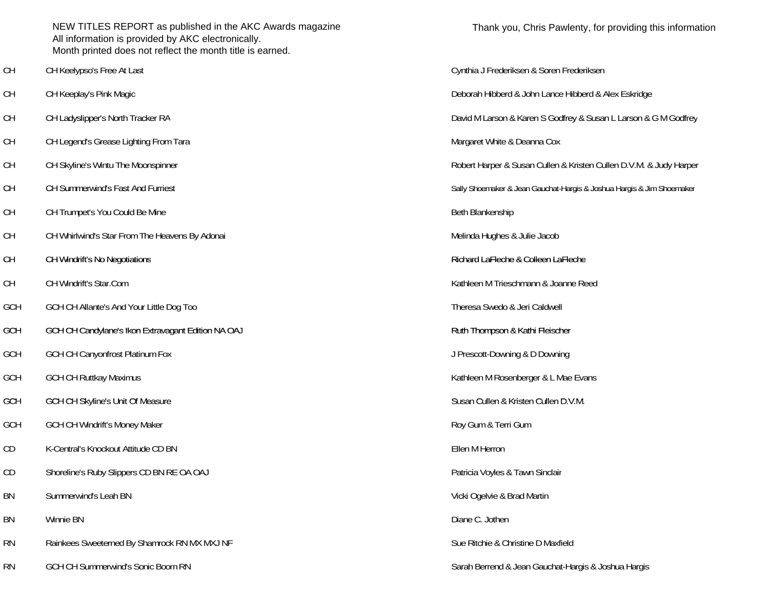NEW TITLES REPORT as published in the AKC Awards magazine All information is provided by AKC electronically. Month printed does not reflect the month title is earned.

- 
- 
- 
- CH CH Legend's Grease Lighting From Tara Margaret White & Deanna Cox and Cox
- 
- CH CH Summerwind's Fast And Furries
- CH CH Trumpet's You Could Be Mine Beth Blankenship Beth Blankenship
- CH CH Whirlwind's Star From The Heavens By Adonai CH CH CH CH CH Melinda Hughes & Julie Jacob
- CH
- CH CH Windrift's Star.Com
- GCH GCH CH Allante's And Your Little Dog Too Theresa Swedo & Jeri Caldwell
- **GCH** GCH CH Candylane Candylane's Ikon Extravagant Edition NA OAJ 's Ruth Thompson & Kathi Fleischer
- GCH GCH CH Canyonfrost Platinum Fox **Figure 1.0 and 2.0 and 2.0 and 3.0 and 3.0 and 3.0 and 3.0 and 3.0 and 3.0 and 3.0 and 3.0 and 3.0 and 3.0 and 4.0 and 4.0 and 4.0 and 4.0 and 4.0 and 4.0 and 4.0 and 4.0 and 4.0 and 4.**
- 
- GCH
- GCH GCH CH Windrift's Money Maker Roy Gum & Terri Gum
- CD K-Central's Knockout Attitude CD BN Ellen M Herron
- CD Shoreline's Ruby Slippers CD BN RE OA OAJ y Slippers (2008) and the state of the Shoreline's Ruby Sinclair
- BN Summerwind's Leah BN
- BN Winnie BN
- RN Rainkees Sweeterned By Shamrock RN MX MXJ NF Sue Ritchie & Christine D Maxfield
- RN GCH CH Summerwind's Sonic Boom RN Sarah Berrend & Jean Gauchat-Hargis & Joshua Hargis & Joshua Hargis & Sarah Berrend & Jean Gauchat-Hargis & Joshua Hargis

Thank you, Chris Pawlenty, for providing this information

CH CH Keelypso's Free At Last Cynthia J Frederiksen & Soren Frederiksen CH CH Keeplay's Pink Magic Deborah Hibberd & John Lance Hibberd & Alex Eskridge CH CH Ladyslipper's North Tracker RA  $\qquad \qquad$  David M Larson & Karen S Godfrey & Susan L Larson & G M Godfrey CH Skyline's Wintu The Moonspinner CH Skyline's Wintu The Moonspinner Robert Harper & Susan Cullen & Kristen Cullen D.V.M. & Judy Harper Sally Shoemaker & Jean Gauchat-Hargis & Joshua Hargis & Jim Shoemaker CH Windrift's No Negotiations **CH Windrift's No Negotiations**  $\blacksquare$  states that the second LaFleche & Colleen LaFleche Kathleen M Trieschmann & Joanne Reed GCH GCH CH Ruttkay Maximus **Kathleen M Rosenberger & L Mae Evans** GCH CH Skyline's Unit Of Measure Susan Cullen B.V.M. Susan Cullen & Kristen Cullen D.V.M. Vicki Ogelvie & Brad Martin Diane C. Jothen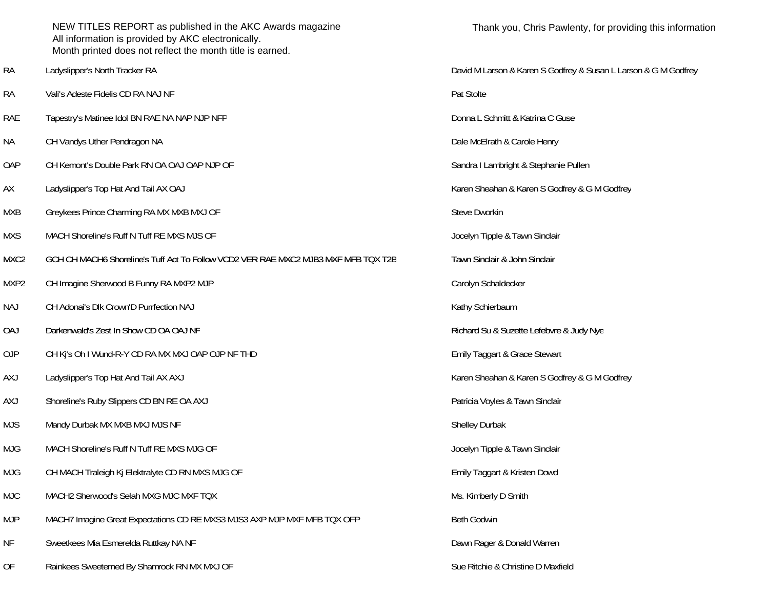|            | NEW TITLES REPORT as published in the AKC Awards magazine<br>All information is provided by AKC electronically.<br>Month printed does not reflect the month title is earned. | Thank you, Chris Pawle             |
|------------|------------------------------------------------------------------------------------------------------------------------------------------------------------------------------|------------------------------------|
| <b>RA</b>  | Ladyslipper's North Tracker RA                                                                                                                                               | David M Larson & Karen S Godfrey   |
| <b>RA</b>  | Vali's Adeste Fidelis CD RA NAJ NF                                                                                                                                           | Pat Stolte                         |
| <b>RAE</b> | Tapestry's Matinee Idol BN RAE NA NAP NJP NFP                                                                                                                                | Donna L Schmitt & Katrina C Guse   |
| <b>NA</b>  | CH Vandys Uther Pendragon NA                                                                                                                                                 | Dale McElrath & Carole Henry       |
| OAP        | CH Kemont's Double Park RN OA OAJ OAP NJP OF                                                                                                                                 | Sandra I Lambright & Stephanie Pu  |
| АX         | Ladyslipper's Top Hat And Tail AX OAJ                                                                                                                                        | Karen Sheahan & Karen S Godfrey    |
| <b>MXB</b> | Greykees Prince Charming RA MX MXB MXJ OF                                                                                                                                    | <b>Steve Dworkin</b>               |
| <b>MXS</b> | MACH Shoreline's Ruff N Tuff RE MXS MJS OF                                                                                                                                   | Jocelyn Tipple & Tawn Sinclair     |
| MXC2       | GCH CH MACH6 Shoreline's Tuff Act To Follow VCD2 VER RAE MXC2 MJB3 MXF MFB TQX T2B                                                                                           | Tawn Sinclair & John Sinclair      |
| MXP2       | CH Imagine Sherwood B Funny RA MXP2 MJP                                                                                                                                      | Carolyn Schaldecker                |
| <b>NAJ</b> | CH Adonai's Dlk Crown'D Purrfection NAJ                                                                                                                                      | Kathy Schierbaum                   |
| <b>OAJ</b> | Darkenwald's Zest In Show CD OA OAJ NF                                                                                                                                       | Richard Su & Suzette Lefebvre & J  |
| <b>OJP</b> | CH Kj's Oh I Wund-R-Y CD RA MX MXJ OAP OJP NF THD                                                                                                                            | Emily Taggart & Grace Stewart      |
| <b>AXJ</b> | Ladyslipper's Top Hat And Tail AX AXJ                                                                                                                                        | Karen Sheahan & Karen S Godfrey    |
| <b>AXJ</b> | Shoreline's Ruby Slippers CD BN RE OA AXJ                                                                                                                                    | Patricia Voyles & Tawn Sinclair    |
| <b>MJS</b> | Mandy Durbak MX MXB MXJ MJS NF                                                                                                                                               | Shelley Durbak                     |
| <b>MJG</b> | MACH Shoreline's Ruff N Tuff RE MXS MJG OF                                                                                                                                   | Jocelyn Tipple & Tawn Sinclair     |
| <b>MJG</b> | CH MACH Traleigh Kj Elektralyte CD RN MXS MJG OF                                                                                                                             | Emily Taggart & Kristen Dowd       |
| <b>MJC</b> | MACH2 Sherwood's Selah MXG MJC MXF TQX                                                                                                                                       | Ms. Kimberly D Smith               |
| <b>MJP</b> | MACH7 Imagine Great Expectations CD RE MXS3 MJS3 AXP MJP MXF MFB TQX OFP                                                                                                     | Beth Godwin                        |
| NF         | Sweetkees Mia Esmerelda Ruttkay NA NF                                                                                                                                        | Dawn Rager & Donald Warren         |
| OF         | Rainkees Sweeterned By Shamrock RN MX MXJ OF                                                                                                                                 | Sue Ritchie & Christine D Maxfield |

David M Larson & Karen S Godfrey & Susan L Larson & G M Godfrey Pat Stolte Donna L Schmitt & Katrina C Guse Dale McElrath & Carole Henry Sandra I Lambright & Stephanie Pullen Karen Sheahan & Karen S Godfrey & G M Godfrey Jocelyn Tipple & Tawn Sinclair Tawn Sinclair & John Sinclair Carolyn Schaldecker Kathy Schierbaum Richard Su & Suzette Lefebvre & Judy Nye Emily Taggart & Grace Stewart Karen Sheahan & Karen S Godfrey & G M Godfrey Patricia Voyles & Tawn Sinclair Jocelyn Tipple & Tawn Sinclair Emily Taggart & Kristen Dowd Ms. Kimberly D Smith Dawn Rager & Donald Warren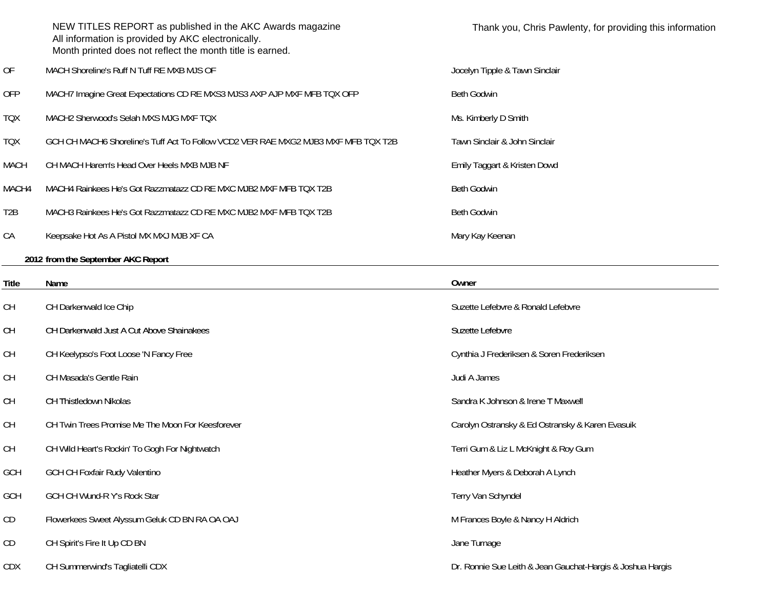|       | NEW TITLES REPORT as published in the AKC Awards magazine<br>All information is provided by AKC electronically.<br>Month printed does not reflect the month title is earned. | Thank you, Chris Pawlenty, for providing this information |
|-------|------------------------------------------------------------------------------------------------------------------------------------------------------------------------------|-----------------------------------------------------------|
| 0F    | MACH Shoreline's Ruff N Tuff RE MXB MJS OF                                                                                                                                   | Jocelyn Tipple & Tawn Sinclair                            |
| OFP   | MACH7 Imagine Great Expectations CD RE MXS3 MJS3 AXP AJP MXF MFB TQX OFP                                                                                                     | <b>Beth Godwin</b>                                        |
| TQX   | MACH2 Sherwood's Selah MXS MJG MXF TQX                                                                                                                                       | Ms. Kimberly D Smith                                      |
| TQX   | GCH CH MACH6 Shoreline's Tuff Act To Follow VCD2 VER RAE MXG2 MJB3 MXF MFB TQX T2B                                                                                           | Tawn Sinclair & John Sinclair                             |
| MACH  | CH MACH Harem's Head Over Heels MXB MJB NF                                                                                                                                   | Emily Taggart & Kristen Dowd                              |
| MACH4 | MACH4 Rainkees He's Got Razzmatazz CD RE MXC MJB2 MXF MFB TQX T2B                                                                                                            | <b>Beth Godwin</b>                                        |
| T2B   | MACH3 Rainkees He's Got Razzmatazz CD RE MXC MJB2 MXF MFB TQX T2B                                                                                                            | Beth Godwin                                               |
| СA    | Keepsake Hot As A Pistol MX MXJ MJB XF CA                                                                                                                                    | Mary Kay Keenan                                           |
|       |                                                                                                                                                                              |                                                           |

**2012 from the September AKC Report**

| Title      | Name                                              | Owner                                                      |
|------------|---------------------------------------------------|------------------------------------------------------------|
| <b>CH</b>  | CH Darkenwald Ice Chip                            | Suzette Lefebvre & Ronald Lefebvre                         |
| <b>CH</b>  | CH Darkenwald Just A Cut Above Shainakees         | Suzette Lefebvre                                           |
| <b>CH</b>  | CH Keelypso's Foot Loose 'N Fancy Free            | Cynthia J Frederiksen & Soren Frederiksen                  |
| <b>CH</b>  | CH Masada's Gentle Rain                           | Judi A James                                               |
| <b>CH</b>  | CH Thistledown Nikolas                            | Sandra K Johnson & Irene T Maxwell                         |
| <b>CH</b>  | CH Twin Trees Promise Me The Moon For Keesforever | Carolyn Ostransky & Ed Ostransky & Karen Evasuik           |
| <b>CH</b>  | CH Wild Heart's Rockin' To Gogh For Nightwatch    | Terri Gum & Liz L McKnight & Roy Gum                       |
| <b>GCH</b> | <b>GCH CH Foxfair Rudy Valentino</b>              | Heather Myers & Deborah A Lynch                            |
| <b>GCH</b> | GCH CH Wund-R Y's Rock Star                       | Terry Van Schyndel                                         |
| CD         | Flowerkees Sweet Alyssum Geluk CD BN RA OA OAJ    | M Frances Boyle & Nancy H Aldrich                          |
| CD         | CH Spirit's Fire It Up CD BN                      | Jane Turnage                                               |
| <b>CDX</b> | CH Summerwind's Tagliatelli CDX                   | Dr. Ronnie Sue Leith & Jean Gauchat-Hargis & Joshua Hargis |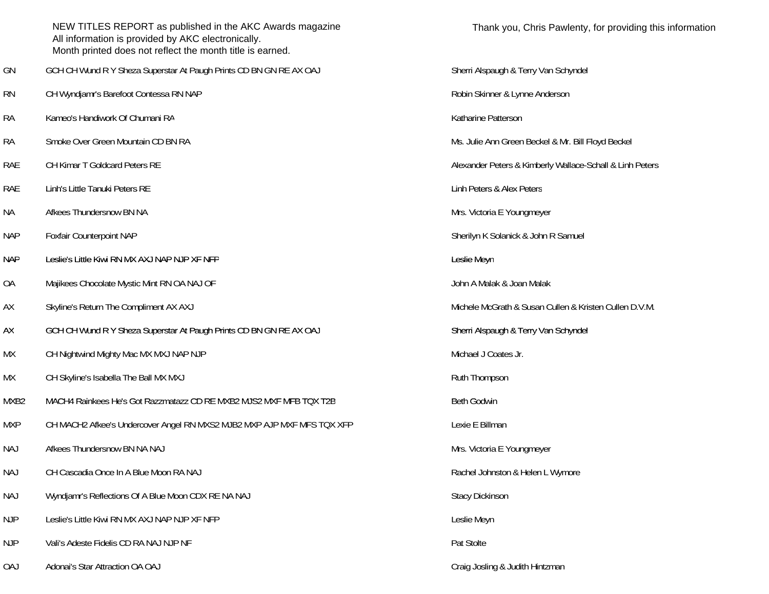|            | NEW TITLES REPORT as published in the AKC Awards magazine<br>All information is provided by AKC electronically.<br>Month printed does not reflect the month title is earned. | Thank you, Chris Pawlenty, for providing th              |
|------------|------------------------------------------------------------------------------------------------------------------------------------------------------------------------------|----------------------------------------------------------|
| GN         | GCH CH Wund R Y Sheza Superstar At Paugh Prints CD BN GN RE AX OAJ                                                                                                           | Sherri Alspaugh & Terry Van Schyndel                     |
| <b>RN</b>  | CH Wyndjamr's Barefoot Contessa RN NAP                                                                                                                                       | Robin Skinner & Lynne Anderson                           |
| <b>RA</b>  | Kameo's Handiwork Of Chumani RA                                                                                                                                              | Katharine Patterson                                      |
| <b>RA</b>  | Smoke Over Green Mountain CD BN RA                                                                                                                                           | Ms. Julie Ann Green Beckel & Mr. Bill Floyd Beckel       |
| RAE        | CH Kimar T Goldcard Peters RE                                                                                                                                                | Alexander Peters & Kimberly Wallace-Schall & Linh Peters |
| RAE        | Linh's Little Tanuki Peters RE                                                                                                                                               | Linh Peters & Alex Peters                                |
| NА         | Afkees Thundersnow BN NA                                                                                                                                                     | Mrs. Victoria E Youngmeyer                               |
| <b>NAP</b> | Foxfair Counterpoint NAP                                                                                                                                                     | Sherilyn K Solanick & John R Samuel                      |
| <b>NAP</b> | Leslie's Little Kiwi RN MX AXJ NAP NJP XF NFP                                                                                                                                | Leslie Meyn                                              |
| OA         | Majikees Chocolate Mystic Mint RN OA NAJ OF                                                                                                                                  | John A Malak & Joan Malak                                |
| AX         | Skyline's Return The Compliment AX AXJ                                                                                                                                       | Michele McGrath & Susan Cullen & Kristen Cullen D.V.M.   |
| AX         | GCH CH Wund R Y Sheza Superstar At Paugh Prints CD BN GN RE AX OAJ                                                                                                           | Sherri Alspaugh & Terry Van Schyndel                     |
| МX         | CH Nightwind Mighty Mac MX MXJ NAP NJP                                                                                                                                       | Michael J Coates Jr.                                     |
| MX         | CH Skyline's Isabella The Ball MX MXJ                                                                                                                                        | Ruth Thompson                                            |
| MXB2       | MACH4 Rainkees He's Got Razzmatazz CD RE MXB2 MJS2 MXF MFB TQX T2B                                                                                                           | Beth Godwin                                              |
| <b>MXP</b> | CH MACH2 Afkee's Undercover Angel RN MXS2 MJB2 MXP AJP MXF MFS TQX XFP                                                                                                       | Lexie E Billman                                          |
| <b>NAJ</b> | Afkees Thundersnow BN NA NAJ                                                                                                                                                 | Mrs. Victoria E Youngmeyer                               |
| <b>NAJ</b> | CH Cascadia Once In A Blue Moon RA NAJ                                                                                                                                       | Rachel Johnston & Helen L Wymore                         |
| <b>NAJ</b> | Wyndjamr's Reflections Of A Blue Moon CDX RE NA NAJ                                                                                                                          | <b>Stacy Dickinson</b>                                   |
| <b>NJP</b> | Leslie's Little Kiwi RN MX AXJ NAP NJP XF NFP                                                                                                                                | Leslie Meyn                                              |
| <b>NJP</b> | Vali's Adeste Fidelis CD RA NAJ NJP NF                                                                                                                                       | Pat Stolte                                               |
| <b>OAJ</b> | Adonai's Star Attraction OA OAJ                                                                                                                                              | Craig Josling & Judith Hintzman                          |

| Sherri Alspaugh & Terry Van Schyndel                     |
|----------------------------------------------------------|
| Robin Skinner & Lynne Anderson                           |
| Katharine Patterson                                      |
| Ms. Julie Ann Green Beckel & Mr. Bill Floyd Beckel       |
| Alexander Peters & Kimberly Wallace-Schall & Linh Peters |
| Linh Peters & Alex Peters                                |
| Mrs. Victoria E Youngmeyer                               |
| Sherilyn K Solanick & John R Samuel                      |
| Leslie Meyn                                              |
| John A Malak & Joan Malak                                |
| Michele McGrath & Susan Cullen & Kristen Cullen D.V.M.   |
| Sherri Alspaugh & Terry Van Schyndel                     |
| Michael J Coates Jr.                                     |
| Ruth Thompson                                            |
| <b>Beth Godwin</b>                                       |
| Lexie E Billman                                          |
| Mrs. Victoria E Youngmeyer                               |
| Rachel Johnston & Helen L Wymore                         |
| <b>Stacy Dickinson</b>                                   |
| Leslie Meyn                                              |
| Pat Stolte                                               |
| Craig Josling & Judith Hintzman                          |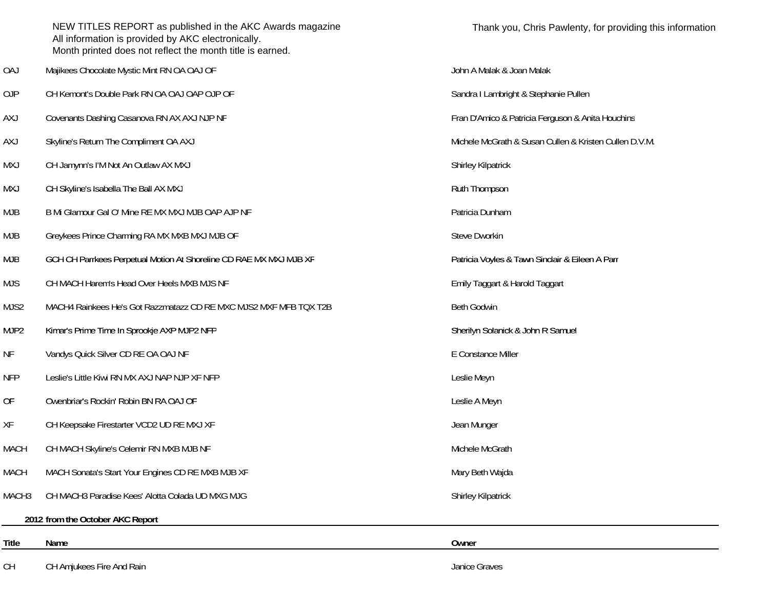|             | NEW TITLES REPORT as published in the AKC Awards magazine<br>All information is provided by AKC electronically.<br>Month printed does not reflect the month title is earned. | Thank you, Chris Pawlenty, for providing this information |
|-------------|------------------------------------------------------------------------------------------------------------------------------------------------------------------------------|-----------------------------------------------------------|
| <b>OAJ</b>  | Majikees Chocolate Mystic Mint RN OA OAJ OF                                                                                                                                  | John A Malak & Joan Malak                                 |
| 0JP         | CH Kemont's Double Park RN OA OAJ OAP OJP OF                                                                                                                                 | Sandra I Lambright & Stephanie Pullen                     |
| <b>AXJ</b>  | Covenants Dashing Casanova RN AX AXJ NJP NF                                                                                                                                  | Fran D'Amico & Patricia Ferguson & Anita Houchins         |
| <b>AXJ</b>  | Skyline's Return The Compliment OA AXJ                                                                                                                                       | Michele McGrath & Susan Cullen & Kristen Cullen D.V.M.    |
| <b>MXJ</b>  | CH Jamynn's I'M Not An Outlaw AX MXJ                                                                                                                                         | <b>Shirley Kilpatrick</b>                                 |
| <b>MXJ</b>  | CH Skyline's Isabella The Ball AX MXJ                                                                                                                                        | Ruth Thompson                                             |
| <b>MJB</b>  | B Mi Glamour Gal O' Mine RE MX MXJ MJB OAP AJP NF                                                                                                                            | Patricia Dunham                                           |
| <b>MJB</b>  | Greykees Prince Charming RA MX MXB MXJ MJB OF                                                                                                                                | Steve Dworkin                                             |
| <b>MJB</b>  | GCH CH Parrkees Perpetual Motion At Shoreline CD RAE MX MXJ MJB XF                                                                                                           | Patricia Voyles & Tawn Sinclair & Eileen A Parr           |
| <b>MJS</b>  | CH MACH Harem's Head Over Heels MXB MJS NF                                                                                                                                   | Emily Taggart & Harold Taggart                            |
| MJS2        | MACH4 Rainkees He's Got Razzmatazz CD RE MXC MJS2 MXF MFB TQX T2B                                                                                                            | <b>Beth Godwin</b>                                        |
| MJP2        | Kimar's Prime Time In Sprookje AXP MJP2 NFP                                                                                                                                  | Sherilyn Solanick & John R Samuel                         |
| <b>NF</b>   | Vandys Quick Silver CD RE OA OAJ NF                                                                                                                                          | E Constance Miller                                        |
| <b>NFP</b>  | Leslie's Little Kiwi RN MX AXJ NAP NJP XF NFP                                                                                                                                | Leslie Meyn                                               |
| <b>OF</b>   | Owenbriar's Rockin' Robin BN RA OAJ OF                                                                                                                                       | Leslie A Meyn                                             |
| XF          | CH Keepsake Firestarter VCD2 UD RE MXJ XF                                                                                                                                    | Jean Munger                                               |
| <b>MACH</b> | CH MACH Skyline's Celemir RN MXB MJB NF                                                                                                                                      | Michele McGrath                                           |
| <b>MACH</b> | MACH Sonata's Start Your Engines CD RE MXB MJB XF                                                                                                                            | Mary Beth Wajda                                           |
| MACH3       | CH MACH3 Paradise Kees' Alotta Colada UD MXG MJG                                                                                                                             | Shirley Kilpatrick                                        |
|             | 2012 from the October AKC Report                                                                                                                                             |                                                           |
| Title       | Name                                                                                                                                                                         | Owner                                                     |
| CH          | CH Amjukees Fire And Rain                                                                                                                                                    | Janice Graves                                             |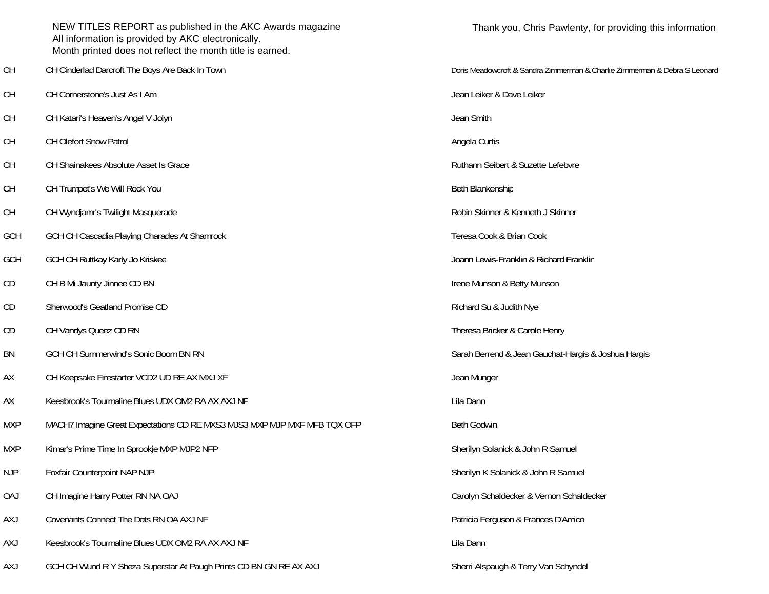|            | NEW TITLES REPORT as published in the AKC Awards magazine<br>All information is provided by AKC electronically.<br>Month printed does not reflect the month title is earned. | Thank you, Chris Pawlenty, for providing this information                  |
|------------|------------------------------------------------------------------------------------------------------------------------------------------------------------------------------|----------------------------------------------------------------------------|
| <b>CH</b>  | CH Cinderlad Darcroft The Boys Are Back In Town                                                                                                                              | Doris Meadowcroft & Sandra Zimmerman & Charlie Zimmerman & Debra S Leonard |
| <b>CH</b>  | CH Cornerstone's Just As I Am                                                                                                                                                | Jean Leiker & Dave Leiker                                                  |
| <b>CH</b>  | CH Katari's Heaven's Angel V Jolyn                                                                                                                                           | Jean Smith                                                                 |
| <b>CH</b>  | <b>CH Olefort Snow Patrol</b>                                                                                                                                                | Angela Curtis                                                              |
| <b>CH</b>  | CH Shainakees Absolute Asset Is Grace                                                                                                                                        | Ruthann Seibert & Suzette Lefebvre                                         |
| <b>CH</b>  | CH Trumpet's We Will Rock You                                                                                                                                                | Beth Blankenship                                                           |
| <b>CH</b>  | CH Wyndjamr's Twilight Masquerade                                                                                                                                            | Robin Skinner & Kenneth J Skinner                                          |
| GCH        | GCH CH Cascadia Playing Charades At Shamrock                                                                                                                                 | Teresa Cook & Brian Cook                                                   |
| <b>GCH</b> | GCH CH Ruttkay Karly Jo Kriskee                                                                                                                                              | Joann Lewis-Franklin & Richard Franklin                                    |
| CD         | CH B Mi Jaunty Jinnee CD BN                                                                                                                                                  | Irene Munson & Betty Munson                                                |
| CD         | Sherwood's Geatland Promise CD                                                                                                                                               | Richard Su & Judith Nye                                                    |
| CD         | CH Vandys Queez CD RN                                                                                                                                                        | Theresa Bricker & Carole Henry                                             |
| BN         | GCH CH Summerwind's Sonic Boom BN RN                                                                                                                                         | Sarah Berrend & Jean Gauchat-Hargis & Joshua Hargis                        |
| AX         | CH Keepsake Firestarter VCD2 UD RE AX MXJ XF                                                                                                                                 | Jean Munger                                                                |
| AX         | Keesbrook's Tourmaline Blues UDX OM2 RA AX AXJ NF                                                                                                                            | Lila Dann                                                                  |
| <b>MXP</b> | MACH7 Imagine Great Expectations CD RE MXS3 MJS3 MXP MJP MXF MFB TQX OFP                                                                                                     | <b>Beth Godwin</b>                                                         |
| <b>MXP</b> | Kimar's Prime Time In Sprookje MXP MJP2 NFP                                                                                                                                  | Sherilyn Solanick & John R Samuel                                          |
| <b>NJP</b> | Foxfair Counterpoint NAP NJP                                                                                                                                                 | Sherilyn K Solanick & John R Samuel                                        |
| <b>OAJ</b> | CH Imagine Harry Potter RN NA OAJ                                                                                                                                            | Carolyn Schaldecker & Vernon Schaldecker                                   |
| <b>AXJ</b> | Covenants Connect The Dots RN OA AXJ NF                                                                                                                                      | Patricia Ferguson & Frances D'Amico                                        |
| <b>AXJ</b> | Keesbrook's Tourmaline Blues UDX OM2 RA AX AXJ NF                                                                                                                            | Lila Dann                                                                  |
| <b>AXJ</b> | GCH CH Wund R Y Sheza Superstar At Paugh Prints CD BN GN RE AX AXJ                                                                                                           | Sherri Alspaugh & Terry Van Schyndel                                       |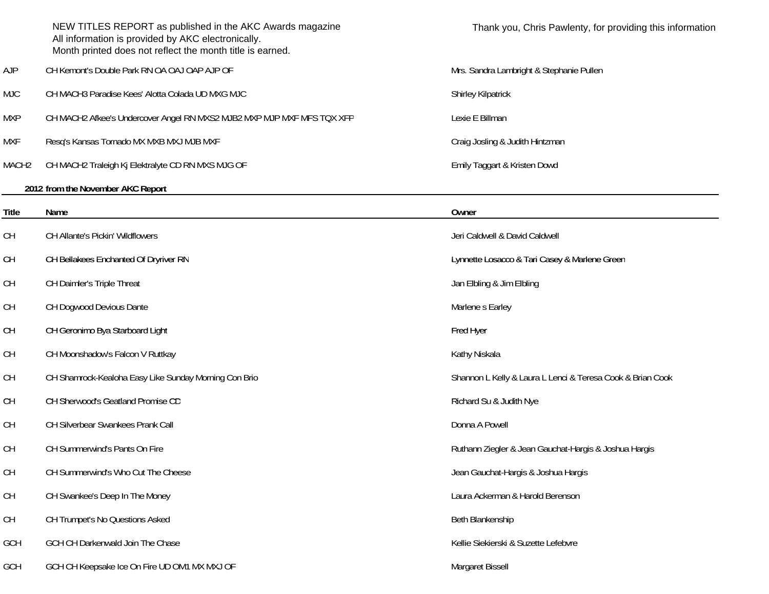|                                                                                         | NEW TITLES REPORT as published in the AKC Awards magazine<br>All information is provided by AKC electronically.<br>Month printed does not reflect the month title is earned. | Thank you, Chris Pawlenty, for providing this information  |
|-----------------------------------------------------------------------------------------|------------------------------------------------------------------------------------------------------------------------------------------------------------------------------|------------------------------------------------------------|
| <b>AJP</b>                                                                              | CH Kemont's Double Park RN OA OAJ OAP AJP OF                                                                                                                                 | Mrs. Sandra Lambright & Stephanie Pullen                   |
| <b>MJC</b>                                                                              | CH MACH3 Paradise Kees' Alotta Colada UD MXG MJC                                                                                                                             | Shirley Kilpatrick                                         |
| <b>MXP</b>                                                                              | CH MACH2 Afkee's Undercover Angel RN MXS2 MJB2 MXP MJP MXF MFS TQX XFP                                                                                                       | Lexie E Billman                                            |
| <b>MXF</b>                                                                              | Resq's Kansas Tornado MX MXB MXJ MJB MXF                                                                                                                                     | Craig Josling & Judith Hintzman                            |
| MACH <sub>2</sub>                                                                       | CH MACH2 Traleigh Kj Elektralyte CD RN MXS MJG OF                                                                                                                            | Emily Taggart & Kristen Dowd                               |
|                                                                                         | 2012 from the November AKC Report                                                                                                                                            |                                                            |
| Title                                                                                   | Name                                                                                                                                                                         | Owner                                                      |
| <b>CH</b>                                                                               | CH Allante's Pickin' Wildflowers                                                                                                                                             | Jeri Caldwell & David Caldwell                             |
| <b>CH</b>                                                                               | CH Bellakees Enchanted Of Dryriver RN                                                                                                                                        | Lynnette Losacco & Tari Casey & Marlene Green              |
| CH                                                                                      | CH Daimler's Triple Threat                                                                                                                                                   | Jan Elbling & Jim Elbling                                  |
| CH                                                                                      | CH Dogwood Devious Dante                                                                                                                                                     | Marlene s Earley                                           |
| CH                                                                                      | CH Geronimo Bya Starboard Light                                                                                                                                              | Fred Hyer                                                  |
| CH                                                                                      | CH Moonshadow's Falcon V Ruttkay                                                                                                                                             | Kathy Niskala                                              |
| CH                                                                                      | CH Shamrock-Kealoha Easy Like Sunday Morning Con Brio                                                                                                                        | Shannon L Kelly & Laura L Lenci & Teresa Cook & Brian Cook |
| CH                                                                                      | CH Sherwood's Geatland Promise CD                                                                                                                                            | Richard Su & Judith Nye                                    |
| <b>CH</b>                                                                               | CH Silverbear Swankees Prank Call                                                                                                                                            | Donna A Powell                                             |
| CH                                                                                      | CH Summerwind's Pants On Fire                                                                                                                                                | Ruthann Ziegler & Jean Gauchat-Hargis & Joshua Hargis      |
| $\mathsf{CH}% \left( \mathcal{M}\right) \equiv\mathsf{CH}^{2}\left( \mathcal{M}\right)$ | CH Summerwind's Who Cut The Cheese                                                                                                                                           | Jean Gauchat-Hargis & Joshua Hargis                        |
| $\mathsf{CH}% \left( \mathcal{M}\right) \equiv\mathsf{CH}^{2}\left( \mathcal{M}\right)$ | CH Swankee's Deep In The Money                                                                                                                                               | Laura Ackerman & Harold Berenson                           |
| $\mathsf{CH}% \left( \mathcal{M}\right) \equiv\mathsf{CH}^{2}\left( \mathcal{M}\right)$ | CH Trumpet's No Questions Asked                                                                                                                                              | Beth Blankenship                                           |
| GCH                                                                                     | GCH CH Darkenwald Join The Chase                                                                                                                                             | Kellie Siekierski & Suzette Lefebvre                       |
| GCH                                                                                     | GCH CH Keepsake Ice On Fire UD OM1 MX MXJ OF                                                                                                                                 | Margaret Bissell                                           |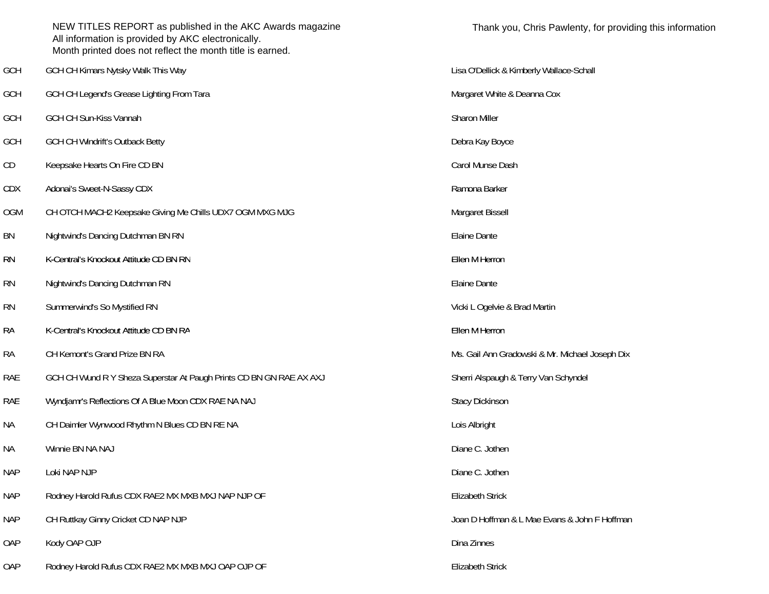|            | NEW TITLES REPORT as published in the AKC Awards magazine<br>All information is provided by AKC electronically.<br>Month printed does not reflect the month title is earned. | Thank you               |
|------------|------------------------------------------------------------------------------------------------------------------------------------------------------------------------------|-------------------------|
| GCH        | GCH CH Kimars Nytsky Walk This Way                                                                                                                                           | Lisa O'Dellick & Ki     |
| GCH        | GCH CH Legend's Grease Lighting From Tara                                                                                                                                    | Margaret White & I      |
| <b>GCH</b> | GCH CH Sun-Kiss Vannah                                                                                                                                                       | Sharon Miller           |
| <b>GCH</b> | <b>GCH CH Windrift's Outback Betty</b>                                                                                                                                       | Debra Kay Boyce         |
| CD         | Keepsake Hearts On Fire CD BN                                                                                                                                                | Carol Munse Dash        |
| <b>CDX</b> | Adonai's Sweet-N-Sassy CDX                                                                                                                                                   | Ramona Barker           |
| <b>OGM</b> | CH OTCH MACH2 Keepsake Giving Me Chills UDX7 OGM MXG MJG                                                                                                                     | Margaret Bissell        |
| BN         | Nightwind's Dancing Dutchman BN RN                                                                                                                                           | <b>Elaine Dante</b>     |
| <b>RN</b>  | K-Central's Knockout Attitude CD BN RN                                                                                                                                       | Ellen M Herron          |
| <b>RN</b>  | Nightwind's Dancing Dutchman RN                                                                                                                                              | <b>Elaine Dante</b>     |
| <b>RN</b>  | Summerwind's So Mystified RN                                                                                                                                                 | Vicki L Ogelvie & E     |
| <b>RA</b>  | K-Central's Knockout Attitude CD BN RA                                                                                                                                       | Ellen M Herron          |
| <b>RA</b>  | CH Kemont's Grand Prize BN RA                                                                                                                                                | Ms. Gail Ann Grad       |
| RAE        | GCH CH Wund R Y Sheza Superstar At Paugh Prints CD BN GN RAE AX AXJ                                                                                                          | Sherri Alspaugh &       |
| <b>RAE</b> | Wyndjamr's Reflections Of A Blue Moon CDX RAE NA NAJ                                                                                                                         | Stacy Dickinson         |
| <b>NA</b>  | CH Daimler Wynwood Rhythm N Blues CD BN RE NA                                                                                                                                | Lois Albright           |
| <b>NA</b>  | Winnie BN NA NAJ                                                                                                                                                             | Diane C. Jothen         |
| <b>NAP</b> | Loki NAP NJP                                                                                                                                                                 | Diane C. Jothen         |
| <b>NAP</b> | Rodney Harold Rufus CDX RAE2 MX MXB MXJ NAP NJP OF                                                                                                                           | <b>Elizabeth Strick</b> |
| <b>NAP</b> | CH Ruttkay Ginny Cricket CD NAP NJP                                                                                                                                          | Joan D Hoffman &        |
| OAP        | Kody OAP OJP                                                                                                                                                                 | Dina Zinnes             |
| OAP        | Rodney Harold Rufus CDX RAE2 MX MXB MXJ OAP OJP OF                                                                                                                           | Elizabeth Strick        |

G'Dellick & Kimberly Wallace-Schall rgaret White & Deanna Cox ki L Ogelvie & Brad Martin Gail Ann Gradowski & Mr. Michael Joseph Dix rri Alspaugh & Terry Van Schyndel In D Hoffman & L Mae Evans & John F Hoffman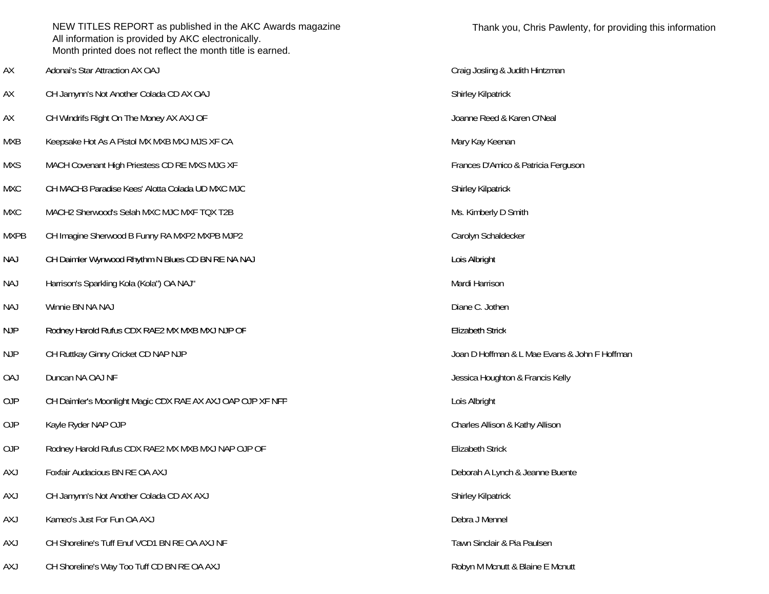|             | NEW TITLES REPORT as published in the AKC Awards magazine<br>All information is provided by AKC electronically.<br>Month printed does not reflect the month title is earned. | Thank you, Chris Pawle            |
|-------------|------------------------------------------------------------------------------------------------------------------------------------------------------------------------------|-----------------------------------|
| АX          | Adonai's Star Attraction AX OAJ                                                                                                                                              | Craig Josling & Judith Hintzman   |
| АX          | CH Jamynn's Not Another Colada CD AX OAJ                                                                                                                                     | Shirley Kilpatrick                |
| АX          | CH Windrifs Right On The Money AX AXJ OF                                                                                                                                     | Joanne Reed & Karen O'Neal        |
| MXB         | Keepsake Hot As A Pistol MX MXB MXJ MJS XF CA                                                                                                                                | Mary Kay Keenan                   |
| <b>MXS</b>  | MACH Covenant High Priestess CD RE MXS MJG XF                                                                                                                                | Frances D'Amico & Patricia Fergus |
| <b>MXC</b>  | CH MACH3 Paradise Kees' Alotta Colada UD MXC MJC                                                                                                                             | Shirley Kilpatrick                |
| <b>MXC</b>  | MACH2 Sherwood's Selah MXC MJC MXF TQX T2B                                                                                                                                   | Ms. Kimberly D Smith              |
| <b>MXPB</b> | CH Imagine Sherwood B Funny RA MXP2 MXPB MJP2                                                                                                                                | Carolyn Schaldecker               |
| <b>NAJ</b>  | CH Daimler Wynwood Rhythm N Blues CD BN RE NA NAJ                                                                                                                            | Lois Albright                     |
| <b>NAJ</b>  | Harrison's Sparkling Kola (Kola") OA NAJ"                                                                                                                                    | Mardi Harrison                    |
| <b>NAJ</b>  | Winnie BN NA NAJ                                                                                                                                                             | Diane C. Jothen                   |
| <b>NJP</b>  | Rodney Harold Rufus CDX RAE2 MX MXB MXJ NJP OF                                                                                                                               | <b>Elizabeth Strick</b>           |
| <b>NJP</b>  | CH Ruttkay Ginny Cricket CD NAP NJP                                                                                                                                          | Joan D Hoffman & L Mae Evans &.   |
| <b>OAJ</b>  | Duncan NA OAJ NF                                                                                                                                                             | Jessica Houghton & Francis Kelly  |
| 0JP         | CH Daimler's Moonlight Magic CDX RAE AX AXJ OAP OJP XF NFP                                                                                                                   | Lois Albright                     |
| 0JP         | Kayle Ryder NAP OJP                                                                                                                                                          | Charles Allison & Kathy Allison   |
| 0JP         | Rodney Harold Rufus CDX RAE2 MX MXB MXJ NAP OJP OF                                                                                                                           | <b>Elizabeth Strick</b>           |
| <b>AXJ</b>  | Foxfair Audacious BN RE OA AXJ                                                                                                                                               | Deborah A Lynch & Jeanne Buente   |
| <b>AXJ</b>  | CH Jamynn's Not Another Colada CD AX AXJ                                                                                                                                     | Shirley Kilpatrick                |
| <b>AXJ</b>  | Kameo's Just For Fun OA AXJ                                                                                                                                                  | Debra J Mennel                    |
| <b>AXJ</b>  | CH Shoreline's Tuff Enuf VCD1 BN RE OA AXJ NF                                                                                                                                | Tawn Sinclair & Pia Paulsen       |
| <b>AXJ</b>  | CH Shoreline's Way Too Tuff CD BN RE OA AXJ                                                                                                                                  | Robyn M Mcnutt & Blaine E Mcnutt  |

Craig Josling & Judith Hintzman Shirley Kilpatrick Joanne Reed & Karen O'Neal Mary Kay Keenan Frances D'Amico & Patricia Ferguson Shirley Kilpatrick Ms. Kimberly D Smith Carolyn Schaldecker **Elizabeth Strick** Joan D Hoffman & L Mae Evans & John F Hoffman Jessica Houghton & Francis Kelly Charles Allison & Kathy Allison Deborah A Lynch & Jeanne Buente Shirley Kilpatrick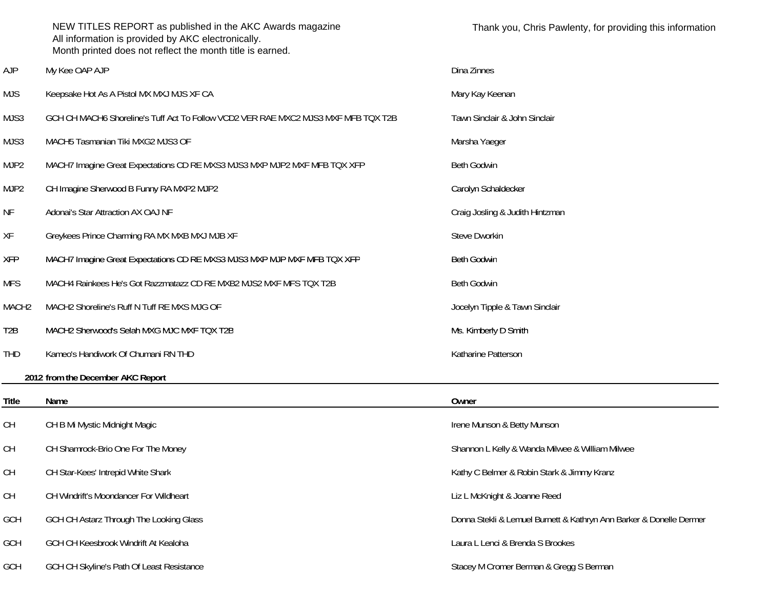|                   | NEW TITLES REPORT as published in the AKC Awards magazine<br>All information is provided by AKC electronically.<br>Month printed does not reflect the month title is earned. | Thank you, Chris Pawlenty, for providing this information           |
|-------------------|------------------------------------------------------------------------------------------------------------------------------------------------------------------------------|---------------------------------------------------------------------|
| <b>AJP</b>        | My Kee OAP AJP                                                                                                                                                               | Dina Zinnes                                                         |
| <b>MJS</b>        | Keepsake Hot As A Pistol MX MXJ MJS XF CA                                                                                                                                    | Mary Kay Keenan                                                     |
| MJS3              | GCH CH MACH6 Shoreline's Tuff Act To Follow VCD2 VER RAE MXC2 MJS3 MXF MFB TQX T2B                                                                                           | Tawn Sinclair & John Sinclair                                       |
| MJS3              | MACH5 Tasmanian Tiki MXG2 MJS3 OF                                                                                                                                            | Marsha Yaeger                                                       |
| MJP <sub>2</sub>  | MACH7 Imagine Great Expectations CD RE MXS3 MJS3 MXP MJP2 MXF MFB TQX XFP                                                                                                    | <b>Beth Godwin</b>                                                  |
| MJP <sub>2</sub>  | CH Imagine Sherwood B Funny RA MXP2 MJP2                                                                                                                                     | Carolyn Schaldecker                                                 |
| ΝF                | Adonai's Star Attraction AX OAJ NF                                                                                                                                           | Craig Josling & Judith Hintzman                                     |
| XF                | Greykees Prince Charming RA MX MXB MXJ MJB XF                                                                                                                                | Steve Dworkin                                                       |
| <b>XFP</b>        | MACH7 Imagine Great Expectations CD RE MXS3 MJS3 MXP MJP MXF MFB TQX XFP                                                                                                     | <b>Beth Godwin</b>                                                  |
| <b>MFS</b>        | MACH4 Rainkees He's Got Razzmatazz CD RE MXB2 MJS2 MXF MFS TOX T2B                                                                                                           | <b>Beth Godwin</b>                                                  |
| MACH <sub>2</sub> | MACH2 Shoreline's Ruff N Tuff RE MXS MJG OF                                                                                                                                  | Jocelyn Tipple & Tawn Sinclair                                      |
| T <sub>2</sub> B  | MACH2 Sherwood's Selah MXG MJC MXF TQX T2B                                                                                                                                   | Ms. Kimberly D Smith                                                |
| <b>THD</b>        | Kameo's Handiwork Of Chumani RN THD                                                                                                                                          | Katharine Patterson                                                 |
|                   | 2012 from the December AKC Report                                                                                                                                            |                                                                     |
| <b>Title</b>      | Name                                                                                                                                                                         | Owner                                                               |
| СH                | CH B Mi Mystic Midnight Magic                                                                                                                                                | Irene Munson & Betty Munson                                         |
| <b>CH</b>         | CH Shamrock-Brio One For The Money                                                                                                                                           | Shannon L Kelly & Wanda Milwee & William Milwee                     |
| CH                | CH Star-Kees' Intrepid White Shark                                                                                                                                           | Kathy C Belmer & Robin Stark & Jimmy Kranz                          |
| CH                | CH Windrift's Moondancer For Wildheart                                                                                                                                       | Liz L McKnight & Joanne Reed                                        |
| GCH               | GCH CH Astarz Through The Looking Glass                                                                                                                                      | Donna Stekli & Lemuel Burnett & Kathryn Ann Barker & Donelle Dermer |
| GCH               | GCH CH Keesbrook Windrift At Kealoha                                                                                                                                         | Laura L Lenci & Brenda S Brookes                                    |
|                   |                                                                                                                                                                              |                                                                     |

# GCH GCH CH Skyline's Path Of Least Resistance Stacey M Cromer Berman & Gregg S Berman & Gregg S Berman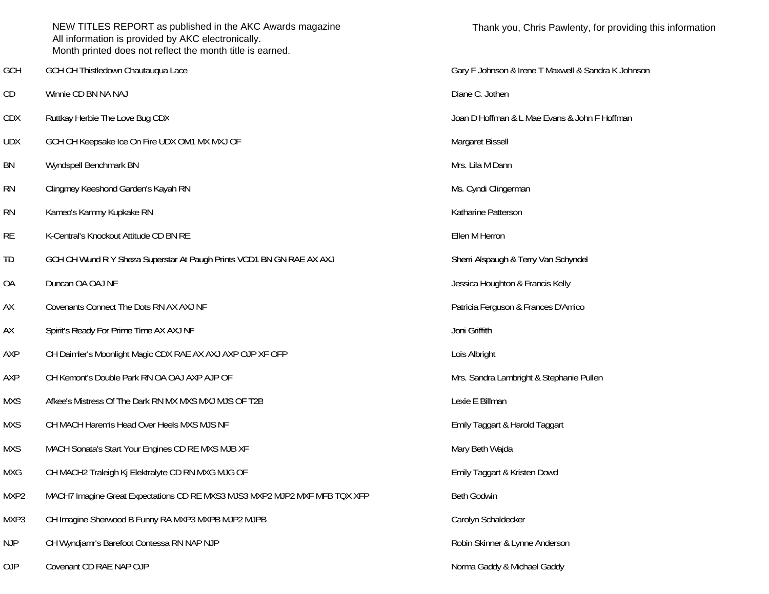|            | NEW TITLES REPORT as published in the AKC Awards magazine<br>All information is provided by AKC electronically.<br>Month printed does not reflect the month title is earned. | Thank yo         |
|------------|------------------------------------------------------------------------------------------------------------------------------------------------------------------------------|------------------|
| GCH        | GCH CH Thistledown Chautauqua Lace                                                                                                                                           | Gary F Johnson   |
| CD         | Winnie CD BN NA NAJ                                                                                                                                                          | Diane C. Jothen  |
| <b>CDX</b> | Ruttkay Herbie The Love Bug CDX                                                                                                                                              | Joan D Hoffman   |
| <b>UDX</b> | GCH CH Keepsake Ice On Fire UDX OM1 MX MXJ OF                                                                                                                                | Margaret Bissell |
| BN         | Wyndspell Benchmark BN                                                                                                                                                       | Mrs. Lila M Danı |
| <b>RN</b>  | Clingmey Keeshond Garden's Kayah RN                                                                                                                                          | Ms. Cyndi Cling  |
| <b>RN</b>  | Kameo's Kammy Kupkake RN                                                                                                                                                     | Katharine Patter |
| <b>RE</b>  | K-Central's Knockout Attitude CD BN RE                                                                                                                                       | Ellen M Herron   |
| TD         | GCH CH Wund R Y Sheza Superstar At Paugh Prints VCD1 BN GN RAE AX AXJ                                                                                                        | Sherri Alspaugh  |
| <b>OA</b>  | Duncan OA OAJ NF                                                                                                                                                             | Jessica Houghto  |
| AX         | Covenants Connect The Dots RN AX AXJ NF                                                                                                                                      | Patricia Fergusc |
| AX         | Spirit's Ready For Prime Time AX AXJ NF                                                                                                                                      | Joni Griffith    |
| AXP        | CH Daimler's Moonlight Magic CDX RAE AX AXJ AXP OJP XF OFP                                                                                                                   | Lois Albright    |
| AXP        | CH Kemont's Double Park RN OA OAJ AXP AJP OF                                                                                                                                 | Mrs. Sandra Lar  |
| <b>MXS</b> | Afkee's Mistress Of The Dark RN MX MXS MXJ MJS OF T2B                                                                                                                        | Lexie E Billman  |
| <b>MXS</b> | CH MACH Harem's Head Over Heels MXS MJS NF                                                                                                                                   | Emily Taggart &  |
| <b>MXS</b> | MACH Sonata's Start Your Engines CD RE MXS MJB XF                                                                                                                            | Mary Beth Wajd   |
| <b>MXG</b> | CH MACH2 Traleigh Kj Elektralyte CD RN MXG MJG OF                                                                                                                            | Emily Taggart &  |
| MXP2       | MACH7 Imagine Great Expectations CD RE MXS3 MJS3 MXP2 MJP2 MXF MFB TQX XFP                                                                                                   | Beth Godwin      |
| MXP3       | CH Imagine Sherwood B Funny RA MXP3 MXPB MJP2 MJPB                                                                                                                           | Carolyn Schalde  |
| <b>NJP</b> | CH Wyndjamr's Barefoot Contessa RN NAP NJP                                                                                                                                   | Robin Skinner &  |
| OJP        | Covenant CD RAE NAP OJP                                                                                                                                                      | Norma Gaddy &    |

Gary F Johnson & Irene T Maxwell & Sandra K Johnson Joan D Hoffman & L Mae Evans & John F Hoffman Margaret Bissell Mrs. Lila M Dann Ms. Cyndi Clingerman Katharine Patterson Sherri Alspaugh & Terry Van Schyndel Jessica Houghton & Francis Kelly Patricia Ferguson & Frances D'Amico Mrs. Sandra Lambright & Stephanie Pullen Lexie E Billman Emily Taggart & Harold Taggart Mary Beth Wajda Emily Taggart & Kristen Dowd Carolyn Schaldecker Robin Skinner & Lynne Anderson Norma Gaddy & Michael Gaddy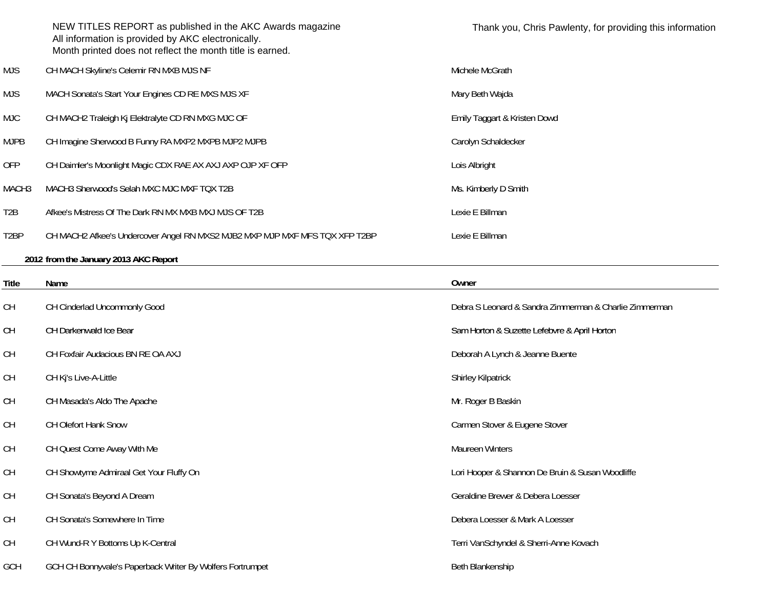|                   | NEW TITLES REPORT as published in the AKC Awards magazine<br>All information is provided by AKC electronically.<br>Month printed does not reflect the month title is earned. | Thank you, Chris Pawlenty, for providing this information |
|-------------------|------------------------------------------------------------------------------------------------------------------------------------------------------------------------------|-----------------------------------------------------------|
| MJS               | CH MACH Skyline's Celemir RN MXB MJS NF                                                                                                                                      | Michele McGrath                                           |
| <b>MJS</b>        | MACH Sonata's Start Your Engines CD RE MXS MJS XF                                                                                                                            | Mary Beth Wajda                                           |
| MJC.              | CH MACH2 Traleigh Kj Elektralyte CD RN MXG MJC OF                                                                                                                            | Emily Taggart & Kristen Dowd                              |
| <b>MJPB</b>       | CH Imagine Sherwood B Funny RA MXP2 MXPB MJP2 MJPB                                                                                                                           | Carolyn Schaldecker                                       |
| <b>OFP</b>        | CH Daimler's Moonlight Magic CDX RAE AX AXJ AXP OJP XF OFP                                                                                                                   | Lois Albright                                             |
| MACH <sub>3</sub> | MACH3 Sherwood's Selah MXC MJC MXF TQX T2B                                                                                                                                   | Ms. Kimberly D Smith                                      |
| T <sub>2</sub> B  | Afkee's Mistress Of The Dark RN MX MXB MXJ MJS OF T2B                                                                                                                        | Lexie E Billman                                           |
| T <sub>2</sub> BP | CH MACH2 Afkee's Undercover Angel RN MXS2 MJB2 MXP MJP MXF MFS TQX XFP T2BP                                                                                                  | Lexie E Billman                                           |
|                   |                                                                                                                                                                              |                                                           |

# **2012 from the January 2013 AKC Report**

| Title     | Name                                                      | Owner                                                  |
|-----------|-----------------------------------------------------------|--------------------------------------------------------|
| CH        | CH Cinderlad Uncommonly Good                              | Debra S Leonard & Sandra Zimmerman & Charlie Zimmerman |
| <b>CH</b> | CH Darkenwald Ice Bear                                    | Sam Horton & Suzette Lefebvre & April Horton           |
| <b>CH</b> | CH Foxfair Audacious BN RE OA AXJ                         | Deborah A Lynch & Jeanne Buente                        |
| <b>CH</b> | CH Kj's Live-A-Little                                     | <b>Shirley Kilpatrick</b>                              |
| <b>CH</b> | CH Masada's Aldo The Apache                               | Mr. Roger B Baskin                                     |
| <b>CH</b> | CH Olefort Hank Snow                                      | Carmen Stover & Eugene Stover                          |
| <b>CH</b> | CH Quest Come Away With Me                                | Maureen Winters                                        |
| <b>CH</b> | CH Showtyme Admiraal Get Your Fluffy On                   | Lori Hooper & Shannon De Bruin & Susan Woodliffe       |
| CH        | CH Sonata's Beyond A Dream                                | Geraldine Brewer & Debera Loesser                      |
| <b>CH</b> | CH Sonata's Somewhere In Time                             | Debera Loesser & Mark A Loesser                        |
| CH        | CH Wund-R Y Bottoms Up K-Central                          | Terri VanSchyndel & Sherri-Anne Kovach                 |
| GCH       | GCH CH Bonnyvale's Paperback Writer By Wolfers Fortrumpet | Beth Blankenship                                       |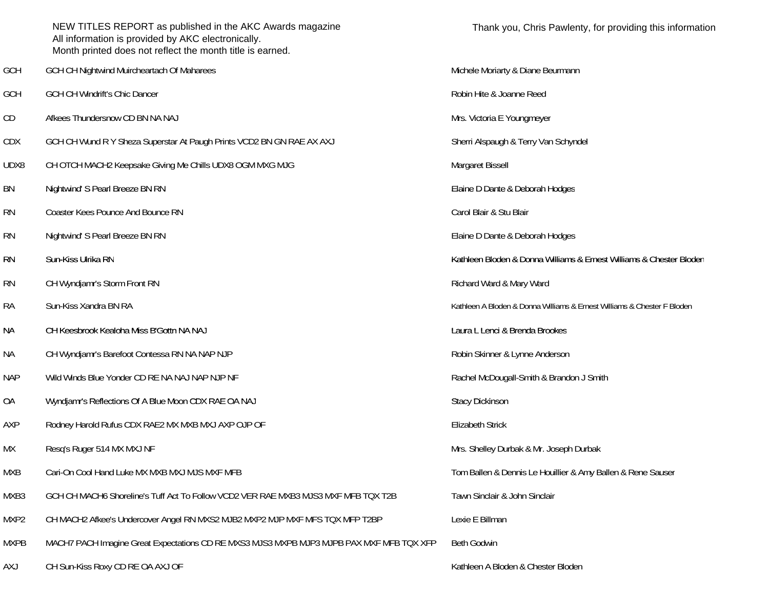|             | NEW TITLES REPORT as published in the AKC Awards magazine<br>All information is provided by AKC electronically.<br>Month printed does not reflect the month title is earned. | Thank you, Chris Pawlenty, for providing this information               |
|-------------|------------------------------------------------------------------------------------------------------------------------------------------------------------------------------|-------------------------------------------------------------------------|
| GCH         | GCH CH Nightwind Muircheartach Of Maharees                                                                                                                                   | Michele Moriarty & Diane Beurmann                                       |
| GCH         | GCH CH Windrift's Chic Dancer                                                                                                                                                | Robin Hite & Joanne Reed                                                |
| CD          | Afkees Thundersnow CD BN NA NAJ                                                                                                                                              | Mrs. Victoria E Youngmeyer                                              |
| <b>CDX</b>  | GCH CH Wund R Y Sheza Superstar At Paugh Prints VCD2 BN GN RAE AX AXJ                                                                                                        | Sherri Alspaugh & Terry Van Schyndel                                    |
| UDX8        | CH OTCH MACH2 Keepsake Giving Me Chills UDX8 OGM MXG MJG                                                                                                                     | Margaret Bissell                                                        |
| BN          | Nightwind' S Pearl Breeze BN RN                                                                                                                                              | Elaine D Dante & Deborah Hodges                                         |
| <b>RN</b>   | Coaster Kees Pounce And Bounce RN                                                                                                                                            | Carol Blair & Stu Blair                                                 |
| <b>RN</b>   | Nightwind' S Pearl Breeze BN RN                                                                                                                                              | Elaine D Dante & Deborah Hodges                                         |
| <b>RN</b>   | Sun-Kiss Ulrika RN                                                                                                                                                           | Kathleen Bloden & Donna Williams & Ernest Williams & Chester Bloden     |
| <b>RN</b>   | CH Wyndjamr's Storm Front RN                                                                                                                                                 | Richard Ward & Mary Ward                                                |
| <b>RA</b>   | Sun-Kiss Xandra BN RA                                                                                                                                                        | Kathleen A Bloden & Donna Williams & Ernest Williams & Chester F Bloden |
| <b>NA</b>   | CH Keesbrook Kealoha Miss B'Gottn NA NAJ                                                                                                                                     | Laura L Lenci & Brenda Brookes                                          |
| NА          | CH Wyndjamr's Barefoot Contessa RN NA NAP NJP                                                                                                                                | Robin Skinner & Lynne Anderson                                          |
| <b>NAP</b>  | Wild Winds Blue Yonder CD RE NA NAJ NAP NJP NF                                                                                                                               | Rachel McDougall-Smith & Brandon J Smith                                |
| <b>OA</b>   | Wyndjamr's Reflections Of A Blue Moon CDX RAE OA NAJ                                                                                                                         | <b>Stacy Dickinson</b>                                                  |
| AXP         | Rodney Harold Rufus CDX RAE2 MX MXB MXJ AXP OJP OF                                                                                                                           | <b>Elizabeth Strick</b>                                                 |
| <b>MX</b>   | Resq's Ruger 514 MX MXJ NF                                                                                                                                                   | Mrs. Shelley Durbak & Mr. Joseph Durbak                                 |
| <b>MXB</b>  | Cari-On Cool Hand Luke MX MXB MXJ MJS MXF MFB                                                                                                                                | Tom Ballen & Dennis Le Houillier & Amy Ballen & Rene Sauser             |
| MXB3        | GCH CH MACH6 Shoreline's Tuff Act To Follow VCD2 VER RAE MXB3 MJS3 MXF MFB TQX T2B                                                                                           | Tawn Sinclair & John Sinclair                                           |
| MXP2        | CH MACH2 Afkee's Undercover Angel RN MXS2 MJB2 MXP2 MJP MXF MFS TQX MFP T2BP                                                                                                 | Lexie E Billman                                                         |
| <b>MXPB</b> | MACH7 PACH Imagine Great Expectations CD RE MXS3 MJS3 MXPB MJP3 MJPB PAX MXF MFB TQX XFP                                                                                     | <b>Beth Godwin</b>                                                      |
| AXJ         | CH Sun-Kiss Roxy CD RE OA AXJ OF                                                                                                                                             | Kathleen A Bloden & Chester Bloden                                      |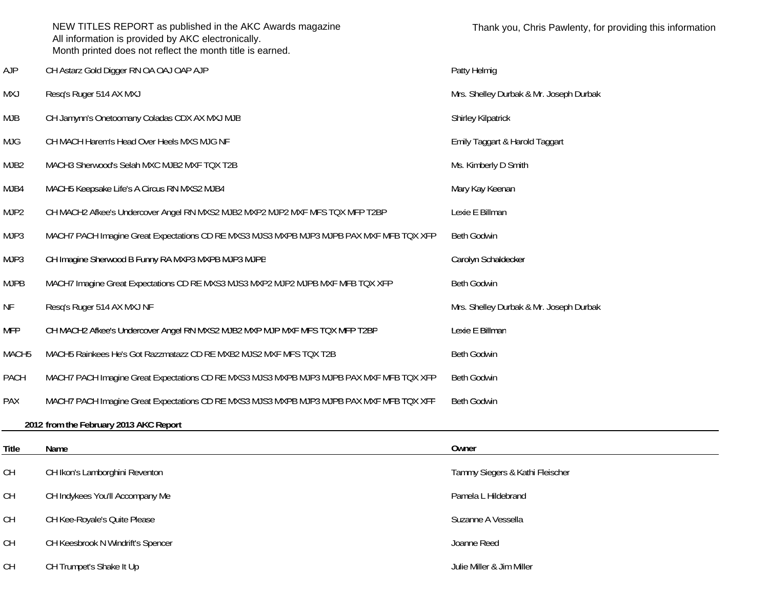|                   | NEW TITLES REPORT as published in the AKC Awards magazine<br>All information is provided by AKC electronically.<br>Month printed does not reflect the month title is earned. | Thank you, Chris Pawlenty, for providing this information |
|-------------------|------------------------------------------------------------------------------------------------------------------------------------------------------------------------------|-----------------------------------------------------------|
| <b>AJP</b>        | CH Astarz Gold Digger RN OA OAJ OAP AJP                                                                                                                                      | Patty Helmig                                              |
| <b>MXJ</b>        | Resq's Ruger 514 AX MXJ                                                                                                                                                      | Mrs. Shelley Durbak & Mr. Joseph Durbak                   |
| MJB               | CH Jamynn's Onetoomany Coladas CDX AX MXJ MJB                                                                                                                                | Shirley Kilpatrick                                        |
| <b>MJG</b>        | CH MACH Harem's Head Over Heels MXS MJG NF                                                                                                                                   | Emily Taggart & Harold Taggart                            |
| MJB <sub>2</sub>  | MACH3 Sherwood's Selah MXC MJB2 MXF TQX T2B                                                                                                                                  | Ms. Kimberly D Smith                                      |
| MJB4              | MACH5 Keepsake Life's A Circus RN MXS2 MJB4                                                                                                                                  | Mary Kay Keenan                                           |
| MJP2              | CH MACH2 Afkee's Undercover Angel RN MXS2 MJB2 MXP2 MJP2 MXF MFS TQX MFP T2BP                                                                                                | Lexie E Billman                                           |
| MJP3              | MACH7 PACH Imagine Great Expectations CD RE MXS3 MJS3 MXPB MJP3 MJPB PAX MXF MFB TQX XFP                                                                                     | <b>Beth Godwin</b>                                        |
| MJP3              | CH Imagine Sherwood B Funny RA MXP3 MXPB MJP3 MJPB                                                                                                                           | Carolyn Schaldecker                                       |
| <b>MJPB</b>       | MACH7 Imagine Great Expectations CD RE MXS3 MJS3 MXP2 MJP2 MJPB MXF MFB TQX XFP                                                                                              | Beth Godwin                                               |
| NF                | Resq's Ruger 514 AX MXJ NF                                                                                                                                                   | Mrs. Shelley Durbak & Mr. Joseph Durbak                   |
| <b>MFP</b>        | CH MACH2 Afkee's Undercover Angel RN MXS2 MJB2 MXP MJP MXF MFS TQX MFP T2BP                                                                                                  | Lexie E Billman                                           |
| MACH <sub>5</sub> | MACH5 Rainkees He's Got Razzmatazz CD RE MXB2 MJS2 MXF MFS TQX T2B                                                                                                           | <b>Beth Godwin</b>                                        |
| PACH              | MACH7 PACH Imagine Great Expectations CD RE MXS3 MJS3 MXPB MJP3 MJPB PAX MXF MFB TQX XFP                                                                                     | <b>Beth Godwin</b>                                        |
| PAX               | MACH7 PACH Imagine Great Expectations CD RE MXS3 MJS3 MXPB MJP3 MJPB PAX MXF MFB TQX XFP                                                                                     | Beth Godwin                                               |
|                   | 2012 from the February 2013 AKC Report                                                                                                                                       |                                                           |
| Title             | Name                                                                                                                                                                         | Owner                                                     |
| <b>CH</b>         | CH Ikon's Lamborghini Reventon                                                                                                                                               | Tammy Siegers & Kathi Fleischer                           |
| <b>CH</b>         | CH Indykees You'll Accompany Me                                                                                                                                              | Pamela L Hildebrand                                       |
| <b>CH</b>         | CH Kee-Royale's Quite Please                                                                                                                                                 | Suzanne A Vessella                                        |
| <b>CH</b>         | CH Keesbrook N Windrift's Spencer                                                                                                                                            | Joanne Reed                                               |
| СH                | CH Trumpet's Shake It Up                                                                                                                                                     | Julie Miller & Jim Miller                                 |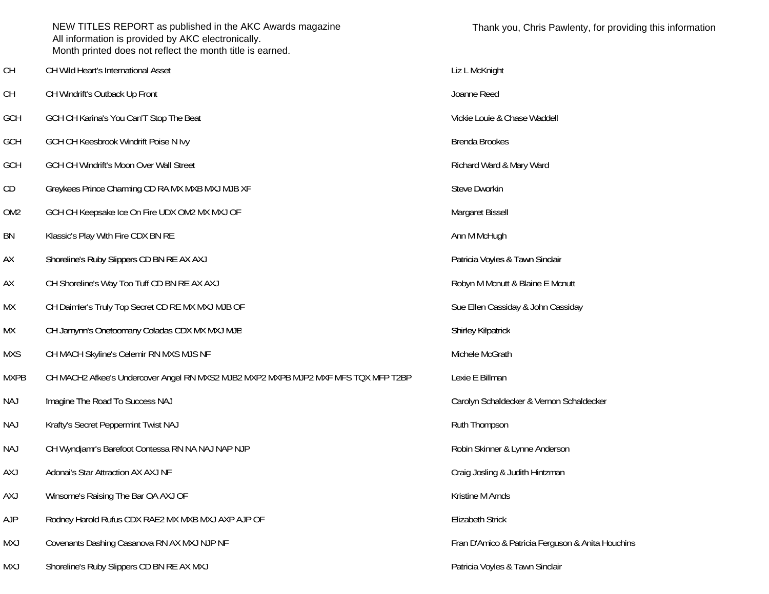|                 | NEW TITLES REPORT as published in the AKC Awards magazine<br>All information is provided by AKC electronically.<br>Month printed does not reflect the month title is earned. | Thank you, Chris Pawlenty, for providi            |
|-----------------|------------------------------------------------------------------------------------------------------------------------------------------------------------------------------|---------------------------------------------------|
| <b>CH</b>       | CH Wild Heart's International Asset                                                                                                                                          | Liz L McKnight                                    |
| <b>CH</b>       | CH Windrift's Outback Up Front                                                                                                                                               | Joanne Reed                                       |
| <b>GCH</b>      | GCH CH Karina's You Can'T Stop The Beat                                                                                                                                      | Vickie Louie & Chase Waddell                      |
| <b>GCH</b>      | GCH CH Keesbrook Windrift Poise N Ivy                                                                                                                                        | <b>Brenda Brookes</b>                             |
| <b>GCH</b>      | GCH CH Windrift's Moon Over Wall Street                                                                                                                                      | Richard Ward & Mary Ward                          |
| CD              | Greykees Prince Charming CD RA MX MXB MXJ MJB XF                                                                                                                             | Steve Dworkin                                     |
| OM <sub>2</sub> | GCH CH Keepsake Ice On Fire UDX OM2 MX MXJ OF                                                                                                                                | Margaret Bissell                                  |
| BN              | Klassic's Play With Fire CDX BN RE                                                                                                                                           | Ann M McHugh                                      |
| AX              | Shoreline's Ruby Slippers CD BN RE AX AXJ                                                                                                                                    | Patricia Voyles & Tawn Sinclair                   |
| AX              | CH Shoreline's Way Too Tuff CD BN RE AX AXJ                                                                                                                                  | Robyn M Mcnutt & Blaine E Mcnutt                  |
| МX              | CH Daimler's Truly Top Secret CD RE MX MXJ MJB OF                                                                                                                            | Sue Ellen Cassiday & John Cassiday                |
| МX              | CH Jamynn's Onetoomany Coladas CDX MX MXJ MJB                                                                                                                                | Shirley Kilpatrick                                |
| <b>MXS</b>      | CH MACH Skyline's Celemir RN MXS MJS NF                                                                                                                                      | Michele McGrath                                   |
| <b>MXPB</b>     | CH MACH2 Afkee's Undercover Angel RN MXS2 MJB2 MXP2 MXPB MJP2 MXF MFS TQX MFP T2BP                                                                                           | Lexie E Billman                                   |
| <b>NAJ</b>      | Imagine The Road To Success NAJ                                                                                                                                              | Carolyn Schaldecker & Vernon Schaldecker          |
| NAJ             | Krafty's Secret Peppermint Twist NAJ                                                                                                                                         | Ruth Thompson                                     |
| <b>NAJ</b>      | CH Wyndjamr's Barefoot Contessa RN NA NAJ NAP NJP                                                                                                                            | Robin Skinner & Lynne Anderson                    |
| <b>AXJ</b>      | Adonai's Star Attraction AX AXJ NF                                                                                                                                           | Craig Josling & Judith Hintzman                   |
| <b>AXJ</b>      | Winsome's Raising The Bar OA AXJ OF                                                                                                                                          | Kristine M Arnds                                  |
| <b>AJP</b>      | Rodney Harold Rufus CDX RAE2 MX MXB MXJ AXP AJP OF                                                                                                                           | <b>Elizabeth Strick</b>                           |
| MXJ             | Covenants Dashing Casanova RN AX MXJ NJP NF                                                                                                                                  | Fran D'Amico & Patricia Ferguson & Anita Houchins |
| MXJ             | Shoreline's Ruby Slippers CD BN RE AX MXJ                                                                                                                                    | Patricia Voyles & Tawn Sinclair                   |